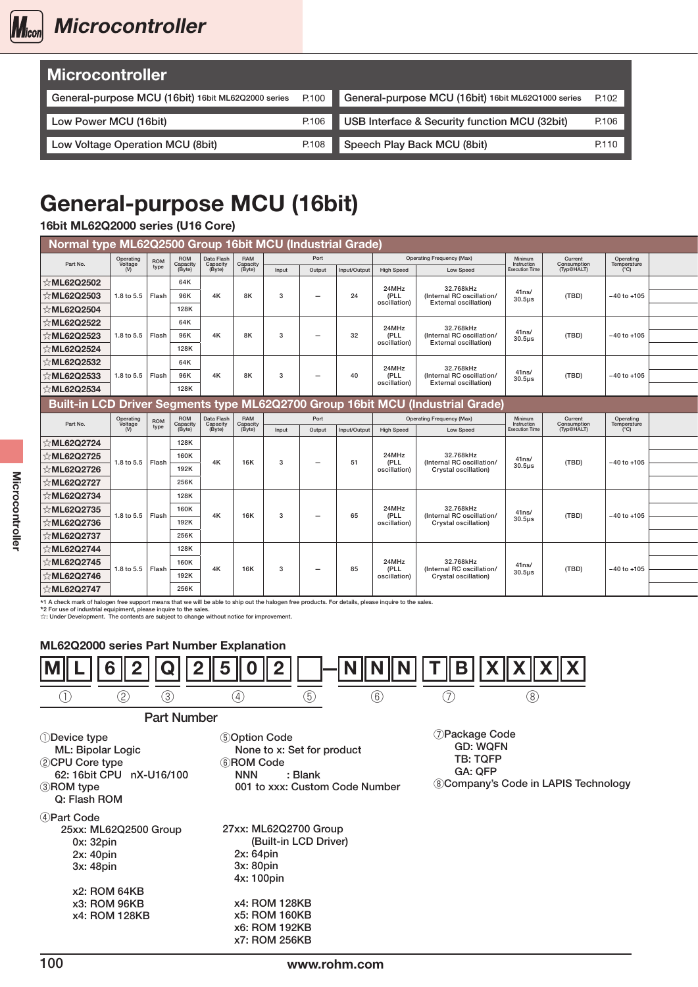### Microcontroller  $\left[\textit{M}_{\text{icon}}\right]$

| <b>Microcontroller</b>                             |       |                                                    |       |
|----------------------------------------------------|-------|----------------------------------------------------|-------|
| General-purpose MCU (16bit) 16bit ML62Q2000 series | P.100 | General-purpose MCU (16bit) 16bit ML62Q1000 series | P.102 |
|                                                    |       |                                                    |       |
| Low Power MCU (16bit)                              | P.106 | USB Interface & Security function MCU (32bit)      | P.106 |
|                                                    |       |                                                    |       |
| Low Voltage Operation MCU (8bit)                   | P.108 | Speech Play Back MCU (8bit)                        | P.110 |
|                                                    |       |                                                    |       |

## General-purpose MCU (16bit)

## 16bit ML62Q2000 series (U16 Core)

| Normal type ML62Q2500 Group 16bit MCU (Industrial Grade) |                             |                                                    |                           |                                  |                           |              |                          |              |                      |                                                                                |                                          |                                      |                                  |  |
|----------------------------------------------------------|-----------------------------|----------------------------------------------------|---------------------------|----------------------------------|---------------------------|--------------|--------------------------|--------------|----------------------|--------------------------------------------------------------------------------|------------------------------------------|--------------------------------------|----------------------------------|--|
| Part No.                                                 | Operating<br>Voltage<br>M   | ROM<br>type                                        | ROM<br>Capacity<br>(Byte) | Data Flash<br>Capacity<br>(Byte) | RAM<br>Capacity<br>(Byte) |              | Port                     |              |                      | <b>Operating Frequency (Max)</b>                                               | Minimum<br>Instruction                   | Current<br>Consumption<br>(Typ@HALT) | Operating<br>Temperature<br>(°C) |  |
|                                                          |                             |                                                    |                           |                                  |                           | Input        | Output                   | Input/Output | <b>High Speed</b>    | Low Speed                                                                      | Execution Time                           |                                      |                                  |  |
| <b>ML62Q2502</b>                                         | 1.8 to 5.5   Flash          |                                                    | 64K<br>96K                | 4K                               | 8K                        | $\mathbf{3}$ |                          | 24           | 24MHz                | 32.768kHz<br>(Internal RC oscillation/                                         | 41ns/                                    | (TBD)                                | $-40$ to $+105$                  |  |
| <b>ML62Q2503</b><br><b>ML62Q2504</b>                     |                             |                                                    | 128K                      |                                  |                           |              | $\overline{\phantom{a}}$ |              | (PLL<br>oscillation) | <b>External oscillation)</b>                                                   | $30.5\mu s$                              |                                      |                                  |  |
| <b>ML62Q2522</b>                                         |                             |                                                    | 64K                       |                                  |                           |              |                          |              |                      |                                                                                |                                          |                                      |                                  |  |
| <b>ML62Q2523</b>                                         | 1.8 to 5.5   Flash          |                                                    | 96K                       | 4K                               | 8K                        | $\mathbf{3}$ | $\overline{\phantom{0}}$ | 32           | 24MHz<br>(PLL        | 32.768kHz<br>(Internal RC oscillation/                                         | 41ns/<br>$30.5\mu s$                     | (TBD)                                | $-40$ to $+105$                  |  |
| <b>ML62Q2524</b>                                         |                             |                                                    | 128K                      |                                  |                           |              |                          |              | oscillation)         | <b>External oscillation)</b>                                                   |                                          |                                      |                                  |  |
| <b>ML62Q2532</b>                                         |                             |                                                    | 64K                       |                                  |                           |              |                          |              | 24MHz                | 32.768kHz                                                                      |                                          |                                      |                                  |  |
| <b>ML62Q2533</b>                                         | 1.8 to 5.5   Flash          |                                                    | 96K                       | 4K                               | 8K                        | $\mathbf{3}$ | $\overline{\phantom{a}}$ | 40           | (PLL<br>oscillation) | (Internal RC oscillation/<br><b>External oscillation)</b>                      | 41ns/<br>30.5 <sub>µ</sub> s             | (TBD)                                | $-40$ to $+105$                  |  |
| <b>ML62Q2534</b>                                         |                             |                                                    | 128K                      |                                  |                           |              |                          |              |                      |                                                                                |                                          |                                      |                                  |  |
|                                                          |                             |                                                    |                           |                                  |                           |              |                          |              |                      | Built-in LCD Driver Segments type ML62Q2700 Group 16bit MCU (Industrial Grade) |                                          |                                      |                                  |  |
| Part No.                                                 | Operating<br>Voltage<br>(V) | $\begin{array}{c}\text{ROM}\text{type}\end{array}$ | ROM<br>Capacity<br>(Byte) | Data Flash<br>Capacity<br>(Byte) | RAM<br>Capacity<br>(Byte) | Input        | Port<br>Output           | Input/Output | <b>High Speed</b>    | <b>Operating Frequency (Max)</b><br>Low Speed                                  | Minimum<br>Instruction<br>Execution Time | Current<br>Consumption<br>(Typ@HALT) | Operating<br>Temperature<br>(°C) |  |
| <b>ML62Q2724</b>                                         |                             |                                                    | 128K                      |                                  |                           |              |                          |              |                      |                                                                                |                                          |                                      |                                  |  |
| <b>ML62Q2725</b>                                         |                             |                                                    | 160K                      |                                  |                           |              |                          |              | 24MHz                | 32.768kHz                                                                      |                                          |                                      |                                  |  |
| <b>ML62Q2726</b>                                         | 1.8 to 5.5   Flash          |                                                    | 192K                      | 4K                               | <b>16K</b>                | $\mathbf{3}$ | $\overline{\phantom{a}}$ | 51           | (PLL<br>oscillation) | (Internal RC oscillation/<br>Crystal oscillation)                              | $41ns/$<br>$30.5ps$                      | (TBD)                                | $-40$ to $+105$                  |  |
| <b>ML62Q2727</b>                                         |                             |                                                    | 256K                      |                                  |                           |              |                          |              |                      |                                                                                |                                          |                                      |                                  |  |
| <b>ML62Q2734</b>                                         |                             |                                                    | 128K                      |                                  |                           |              |                          |              |                      |                                                                                |                                          |                                      |                                  |  |
| <b>ML62Q2735</b>                                         | 1.8 to 5.5   Flash          |                                                    | 160K                      | 4K                               | <b>16K</b>                | $\mathbf{3}$ | $-$                      | 65           | 24MHz<br>(PLL        | 32.768kHz<br>(Internal RC oscillation/                                         | $41ns/$<br>$30.5ps$                      | (TBD)                                | $-40$ to $+105$                  |  |
| <b>ML62Q2736</b>                                         |                             |                                                    | 192K                      |                                  |                           |              |                          |              | oscillation)         | Crystal oscillation)                                                           |                                          |                                      |                                  |  |
| <b>ML62Q2737</b>                                         |                             |                                                    | 256K                      |                                  |                           |              |                          |              |                      |                                                                                |                                          |                                      |                                  |  |
| <b>ML62Q2744</b>                                         |                             |                                                    | 128K                      |                                  |                           |              |                          |              | 24MHz                | 32.768kHz                                                                      |                                          |                                      |                                  |  |
| <b>ML62Q2745</b>                                         | 1.8 to 5.5   Flash          |                                                    | 160K<br>192K              | 4K                               | <b>16K</b>                | $\mathbf{3}$ | $\overline{\phantom{0}}$ | 85           | (PLL<br>oscillation) | (Internal RC oscillation/<br>Crystal oscillation)                              | 41ns/<br>$30.5\mu s$                     | (TBD)                                | $-40$ to $+105$                  |  |
| <b>ML62Q2746</b><br>☆ML62Q2747                           |                             |                                                    | 256K                      |                                  |                           |              |                          |              |                      |                                                                                |                                          |                                      |                                  |  |
|                                                          |                             |                                                    |                           |                                  |                           |              |                          |              |                      |                                                                                |                                          |                                      |                                  |  |

| <b>ML62Q2000 series Part Number Explanation</b>                                                                          |                                                                                                                      |                                                                                                                 |
|--------------------------------------------------------------------------------------------------------------------------|----------------------------------------------------------------------------------------------------------------------|-----------------------------------------------------------------------------------------------------------------|
| 6                                                                                                                        |                                                                                                                      |                                                                                                                 |
| ③<br>②                                                                                                                   | ⑤<br>$^\copyright$<br>(4)                                                                                            | T.<br>$^\circledR$                                                                                              |
| <b>Part Number</b>                                                                                                       |                                                                                                                      |                                                                                                                 |
| (1) Device type<br>ML: Bipolar Logic<br>2 CPU Core type<br>62: 16bit CPU nX-U16/100<br><b>3</b> ROM type<br>Q: Flash ROM | 5 Option Code<br>None to x: Set for product<br>6 ROM Code<br><b>NNN</b><br>: Blank<br>001 to xxx: Custom Code Number | <b>DPackage Code</b><br><b>GD: WQFN</b><br><b>TB: TQFP</b><br>GA: QFP<br>(8) Company's Code in LAPIS Technology |
| 4) Part Code<br>25xx: ML62Q2500 Group<br>0x: 32pin<br>2x: 40pin<br>3x: 48pin                                             | 27xx: ML62Q2700 Group<br>(Built-in LCD Driver)<br>2x: 64pin<br>3x: 80pin<br>4x: 100pin                               |                                                                                                                 |
| x2: ROM 64KB<br>x3: ROM 96KB<br>x4: ROM 128KB                                                                            | x4: ROM 128KB<br>x5: ROM 160KB<br>x6: ROM 192KB<br>x7: ROM 256KB                                                     |                                                                                                                 |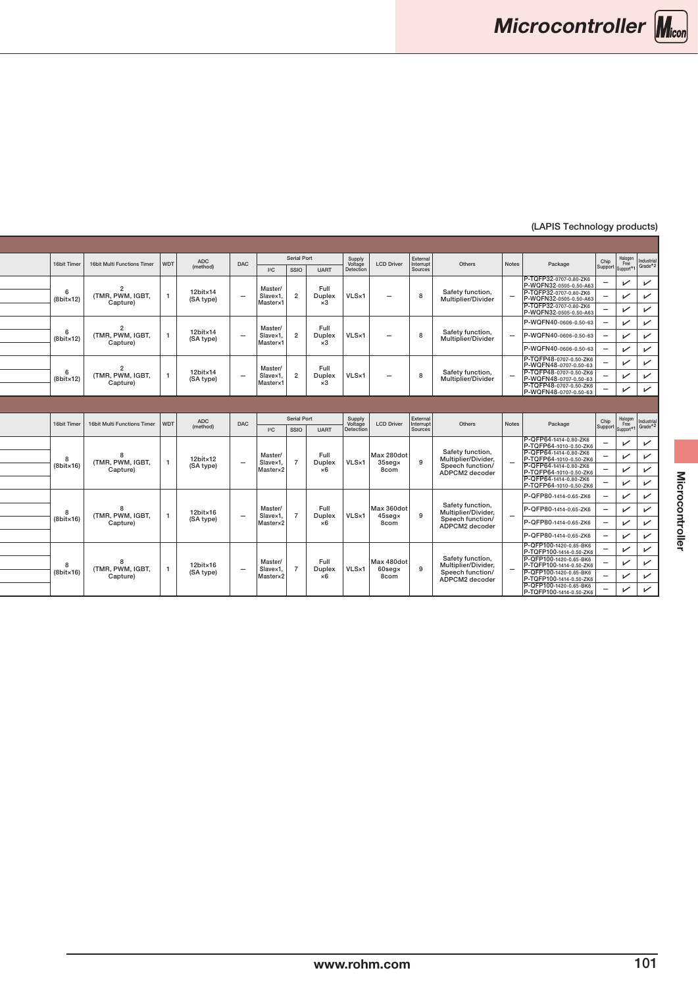#### $16\text{LPHS}$  Technology products)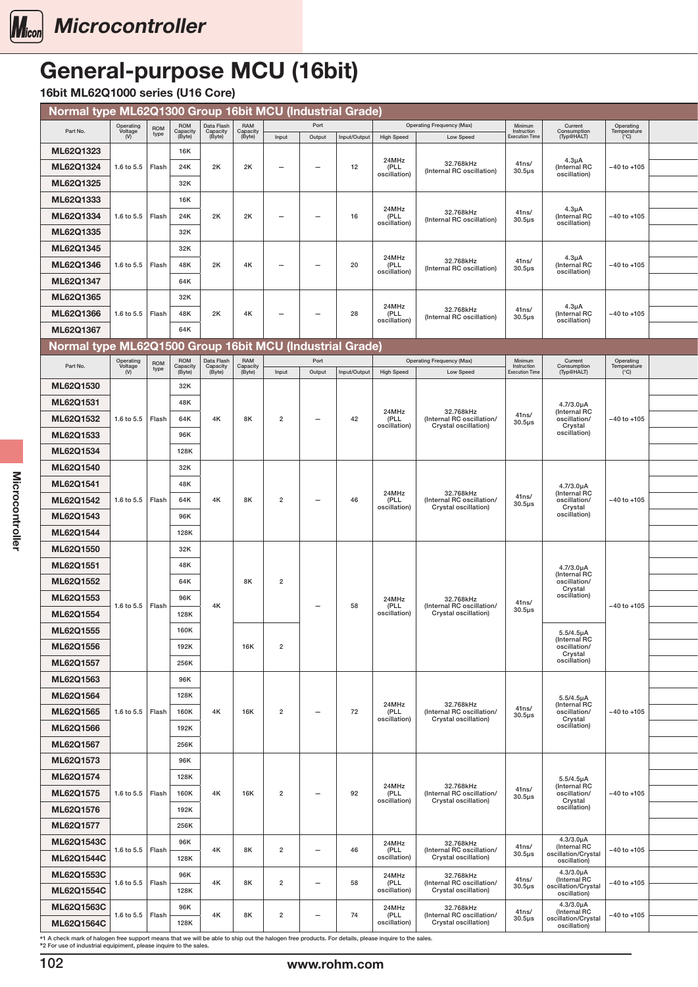<span id="page-2-0"></span>

## General-purpose MCU (16bit)

16bit ML62Q1000 series (U16 Core) (LAPIS Technology products) and the control of the control of the core of the core

| Port<br>Operating<br>Voltage<br>(V)<br>ROM<br>Capacity<br>(Byte)<br>Data Flash<br>Capacity<br>(Byte)<br>RAM<br>Capacity<br>(Byte)<br><b>Operating Frequency (Max)</b><br>Minimum<br>Operating<br>Temperature<br>Current<br>ROM<br>type<br>Part No.<br>Instruction<br>Consumption<br>(Typ@HALT)<br><b>High Speed</b><br>Execution Time<br>(C)<br>Input<br>Output<br>Input/Output<br>Low Speed<br>ML62Q1323<br><b>16K</b><br>24MHz<br>$4.3\mu A$<br>32.768kHz<br>41ns/<br>ML62Q1324<br>24K<br>2K<br>2K<br>1.6 to 5.5 Flash<br>12<br>(PLL<br>(Internal RC<br>$-40$ to $+105$<br>$\hspace{0.1mm}-\hspace{0.1mm}$<br>$\overline{\phantom{0}}$<br>(Internal RC oscillation)<br>$30.5\mu s$<br>oscillation)<br>oscillation)<br>ML62Q1325<br>32K<br>ML62Q1333<br><b>16K</b><br>24MHz<br>$4.3\mu A$<br>32.768kHz<br>41ns/<br>ML62Q1334<br>24K<br>1.6 to 5.5   Flash<br>2K<br>2K<br>16<br>(PLL<br>(Internal RC<br>$-40$ to $+105$<br>$\hspace{0.1mm}-\hspace{0.1mm}$<br>$\overline{\phantom{a}}$<br>(Internal RC oscillation)<br>$30.5\mu s$<br>oscillation)<br>oscillation)<br>ML62Q1335<br>32K<br>ML62Q1345<br>32K<br>$4.3\mu A$<br>24MHz<br>32.768kHz<br>41ns/<br>48K<br>ML62Q1346<br>2K<br>4K<br>20<br>1.6 to 5.5   Flash<br>(Internal RC<br>(PLL<br>$-40$ to $+105$<br>$\hspace{0.1mm}-\hspace{0.1mm}$<br>$\overline{\phantom{0}}$<br>(Internal RC oscillation)<br>$30.5\mu s$<br>oscillation)<br>oscillation)<br>ML62Q1347<br>64K<br>ML62Q1365<br>32K<br>$4.3\mu A$<br>24MHz<br>32.768kHz<br>41ns/<br>ML62Q1366<br>28<br>1.6 to 5.5 Flash<br>48K<br>2K<br>4K<br>(Internal RC<br>$-40$ to $+105$<br>(PLL<br>$-$<br>$\overline{\phantom{0}}$<br>(Internal RC oscillation)<br>$30.5\mu s$<br>oscillation)<br>oscillation)<br>64K<br>ML62Q1367<br>Normal type ML62Q1500 Group 16bit MCU (Industrial Grade)<br>Port<br><b>Operating Frequency (Max)</b><br>ROM<br>Capacity<br>(Byte)<br>Data Flash<br>Capacity<br>(Byte)<br>RAM<br>Capacity<br>(Byte)<br>Operating<br>Voltage<br>(V)<br>Minimum<br>Current<br>Operating<br>Temperature<br>ROM<br>type<br>Part No.<br>Instruction<br>Consumption<br>(Typ@HALT)<br>Input<br>Input/Output<br><b>High Speed</b><br>Execution Time<br>$(C^{\circ}C)$<br>Output<br>Low Speed<br>ML62Q1530<br>32K<br>ML62Q1531<br>48K<br>$4.7/3.0\mu A$<br>24MHz<br>32.768kHz<br>(Internal RC<br>41ns/<br>ML62Q1532<br>64K<br>$4\mathrm{K}$<br>8K<br>$\overline{2}$<br>42<br>1.6 to 5.5   Flash  <br>(PLL<br>(Internal RC oscillation/<br>oscillation/<br>$-40$ to $+105$<br>$\overline{\phantom{a}}$<br>$30.5\mu$ s<br>Crystal oscillation)<br>oscillation)<br>Crystal<br>oscillation)<br>ML62Q1533<br>96K<br>ML62Q1534<br>128K<br>ML62Q1540<br>32K<br>ML62Q1541<br>48K<br>$4.7/3.0\mu A$<br>(Internal RC<br>24MHz<br>32.768kHz<br>41ns/<br>ML62Q1542<br>8K<br>64K<br>$\overline{2}$<br>1.6 to 5.5   Flash<br>4K<br>46<br>$-40$ to $+105$<br>(PLL<br>(Internal RC oscillation/<br>oscillation/<br>$\overline{\phantom{a}}$<br>$30.5\mu s$<br>oscillation)<br>Crystal oscillation)<br>Crystal<br>oscillation)<br>ML62Q1543<br>96K<br>ML62Q1544<br>128K<br>ML62Q1550<br>32K<br>ML62Q1551<br>48K<br>$4.7/3.0\mu A$<br>(Internal RC<br>ML62Q1552<br>64K<br>8K<br>$\overline{2}$<br>oscillation/<br>Crystal<br>oscillation)<br>ML62Q1553<br>96K<br>24MHz<br>32.768kHz<br>41ns/<br>1.6 to 5.5   Flash<br>4K<br>58<br>(PLL<br>$-40$ to $+105$<br>(Internal RC oscillation/<br>$\overline{\phantom{a}}$<br>$30.5\mu s$<br>ML62Q1554<br>128K<br>oscillation)<br>Crystal oscillation)<br>ML62Q1555<br>160K<br>$5.5/4.5\mu A$<br>(Internal RC<br>192K<br>16K<br>ML62Q1556<br>$\overline{2}$<br>oscillation/<br>Crystal<br>oscillation)<br>ML62Q1557<br>256K<br>ML62Q1563<br>96K<br>128K<br>ML62Q1564<br>$5.5/4.5\mu A$<br>24MHz<br>32.768kHz<br>(Internal RC<br>41ns/<br>ML62Q1565<br>1.6 to 5.5   Flash  <br>160K<br>4K<br>16K<br>$\overline{2}$<br>72<br>(PLL<br>(Internal RC oscillation/<br>oscillation/<br>$-40$ to $+105$<br>$\overline{\phantom{0}}$<br>$30.5\mu s$<br>oscillation)<br>Crystal oscillation)<br>Crystal<br>oscillation)<br>ML62Q1566<br>192K<br>ML62Q1567<br>256K<br>ML62Q1573<br>96K<br>ML62Q1574<br>128K<br>$5.5/4.5\muA$<br>24MHz<br>(Internal RC<br>32.768kHz<br>41ns/<br>ML62Q1575<br>160K<br>4K<br>16K<br>92<br>1.6 to 5.5   Flash  <br>$\overline{2}$<br>(PLL<br>(Internal RC oscillation/<br>$-40$ to $+105$<br>oscillation/<br>$\overline{\phantom{a}}$<br>$30.5\mu s$<br>Crystal oscillation)<br>oscillation)<br>Crystal<br>oscillation)<br>ML62Q1576<br>192K<br>ML62Q1577<br>256K<br>$4.3/3.0\mu A$<br>ML62Q1543C<br>96K<br>24MHz<br>32.768kHz<br>(Internal RC<br>41ns/<br>8K<br>1.6 to 5.5   Flash<br>4K<br>$\overline{2}$<br>46<br>(Internal RC oscillation/<br>$-40$ to $+105$<br>(PLL<br>$\overline{\phantom{a}}$<br>$30.5\mu s$<br>oscillation/Crystal<br>oscillation)<br>Crystal oscillation)<br>ML62Q1544C<br>128K<br>oscillation)<br>$4.3/3.0\mu A$<br>ML62Q1553C<br>96K<br>32.768kHz<br>24MHz<br>(Internal RC<br>41ns/<br>4K<br>8K<br>$\overline{2}$<br>58<br>(Internal RC oscillation/<br>1.6 to 5.5 Flash<br>$-40$ to $+105$<br>(PLL<br>$\overline{\phantom{a}}$<br>$30.5\mu s$<br>oscillation/Crystal<br>oscillation)<br>Crystal oscillation)<br>ML62Q1554C<br>128K<br>oscillation)<br>$4.3/3.0\mu A$<br>ML62Q1563C<br>96K<br>24MHz<br>32.768kHz<br>41ns/<br>(Internal RC<br>1.6 to 5.5 Flash | Normal type ML62Q1300 Group 16bit MCU (Industrial Grade) |  |    |    |                |                          |    |      |                           |             |                     |                 |  |
|--------------------------------------------------------------------------------------------------------------------------------------------------------------------------------------------------------------------------------------------------------------------------------------------------------------------------------------------------------------------------------------------------------------------------------------------------------------------------------------------------------------------------------------------------------------------------------------------------------------------------------------------------------------------------------------------------------------------------------------------------------------------------------------------------------------------------------------------------------------------------------------------------------------------------------------------------------------------------------------------------------------------------------------------------------------------------------------------------------------------------------------------------------------------------------------------------------------------------------------------------------------------------------------------------------------------------------------------------------------------------------------------------------------------------------------------------------------------------------------------------------------------------------------------------------------------------------------------------------------------------------------------------------------------------------------------------------------------------------------------------------------------------------------------------------------------------------------------------------------------------------------------------------------------------------------------------------------------------------------------------------------------------------------------------------------------------------------------------------------------------------------------------------------------------------------------------------------------------------------------------------------------------------------------------------------------------------------------------------------------------------------------------------------------------------------------------------------------------------------------------------------------------------------------------------------------------------------------------------------------------------------------------------------------------------------------------------------------------------------------------------------------------------------------------------------------------------------------------------------------------------------------------------------------------------------------------------------------------------------------------------------------------------------------------------------------------------------------------------------------------------------------------------------------------------------------------------------------------------------------------------------------------------------------------------------------------------------------------------------------------------------------------------------------------------------------------------------------------------------------------------------------------------------------------------------------------------------------------------------------------------------------------------------------------------------------------------------------------------------------------------------------------------------------------------------------------------------------------------------------------------------------------------------------------------------------------------------------------------------------------------------------------------------------------------------------------------------------------------------------------------------------------------------------------------------------------------------------------------------------------------------------------------------------------------------------------------------------------------------------------------------------------------------------------------------------------------------------------------------------------------------------------------------------------------------------------------------------------------------------------------------------------------------------------------------------------------------------------------------------------------------------------------------------------------------------------------------------------------------------------------------------------------------------------------------------------------------------------------------------------------------------------------------------------------------------------------------------------------------------------------------------------------------------------------------------------------------------------------------------------------------------------------------------------------------------------------------------------|----------------------------------------------------------|--|----|----|----------------|--------------------------|----|------|---------------------------|-------------|---------------------|-----------------|--|
|                                                                                                                                                                                                                                                                                                                                                                                                                                                                                                                                                                                                                                                                                                                                                                                                                                                                                                                                                                                                                                                                                                                                                                                                                                                                                                                                                                                                                                                                                                                                                                                                                                                                                                                                                                                                                                                                                                                                                                                                                                                                                                                                                                                                                                                                                                                                                                                                                                                                                                                                                                                                                                                                                                                                                                                                                                                                                                                                                                                                                                                                                                                                                                                                                                                                                                                                                                                                                                                                                                                                                                                                                                                                                                                                                                                                                                                                                                                                                                                                                                                                                                                                                                                                                                                                                                                                                                                                                                                                                                                                                                                                                                                                                                                                                                                                                                                                                                                                                                                                                                                                                                                                                                                                                                                                                                                                                  |                                                          |  |    |    |                |                          |    |      |                           |             |                     |                 |  |
|                                                                                                                                                                                                                                                                                                                                                                                                                                                                                                                                                                                                                                                                                                                                                                                                                                                                                                                                                                                                                                                                                                                                                                                                                                                                                                                                                                                                                                                                                                                                                                                                                                                                                                                                                                                                                                                                                                                                                                                                                                                                                                                                                                                                                                                                                                                                                                                                                                                                                                                                                                                                                                                                                                                                                                                                                                                                                                                                                                                                                                                                                                                                                                                                                                                                                                                                                                                                                                                                                                                                                                                                                                                                                                                                                                                                                                                                                                                                                                                                                                                                                                                                                                                                                                                                                                                                                                                                                                                                                                                                                                                                                                                                                                                                                                                                                                                                                                                                                                                                                                                                                                                                                                                                                                                                                                                                                  |                                                          |  |    |    |                |                          |    |      |                           |             |                     |                 |  |
|                                                                                                                                                                                                                                                                                                                                                                                                                                                                                                                                                                                                                                                                                                                                                                                                                                                                                                                                                                                                                                                                                                                                                                                                                                                                                                                                                                                                                                                                                                                                                                                                                                                                                                                                                                                                                                                                                                                                                                                                                                                                                                                                                                                                                                                                                                                                                                                                                                                                                                                                                                                                                                                                                                                                                                                                                                                                                                                                                                                                                                                                                                                                                                                                                                                                                                                                                                                                                                                                                                                                                                                                                                                                                                                                                                                                                                                                                                                                                                                                                                                                                                                                                                                                                                                                                                                                                                                                                                                                                                                                                                                                                                                                                                                                                                                                                                                                                                                                                                                                                                                                                                                                                                                                                                                                                                                                                  |                                                          |  |    |    |                |                          |    |      |                           |             |                     |                 |  |
|                                                                                                                                                                                                                                                                                                                                                                                                                                                                                                                                                                                                                                                                                                                                                                                                                                                                                                                                                                                                                                                                                                                                                                                                                                                                                                                                                                                                                                                                                                                                                                                                                                                                                                                                                                                                                                                                                                                                                                                                                                                                                                                                                                                                                                                                                                                                                                                                                                                                                                                                                                                                                                                                                                                                                                                                                                                                                                                                                                                                                                                                                                                                                                                                                                                                                                                                                                                                                                                                                                                                                                                                                                                                                                                                                                                                                                                                                                                                                                                                                                                                                                                                                                                                                                                                                                                                                                                                                                                                                                                                                                                                                                                                                                                                                                                                                                                                                                                                                                                                                                                                                                                                                                                                                                                                                                                                                  |                                                          |  |    |    |                |                          |    |      |                           |             |                     |                 |  |
|                                                                                                                                                                                                                                                                                                                                                                                                                                                                                                                                                                                                                                                                                                                                                                                                                                                                                                                                                                                                                                                                                                                                                                                                                                                                                                                                                                                                                                                                                                                                                                                                                                                                                                                                                                                                                                                                                                                                                                                                                                                                                                                                                                                                                                                                                                                                                                                                                                                                                                                                                                                                                                                                                                                                                                                                                                                                                                                                                                                                                                                                                                                                                                                                                                                                                                                                                                                                                                                                                                                                                                                                                                                                                                                                                                                                                                                                                                                                                                                                                                                                                                                                                                                                                                                                                                                                                                                                                                                                                                                                                                                                                                                                                                                                                                                                                                                                                                                                                                                                                                                                                                                                                                                                                                                                                                                                                  |                                                          |  |    |    |                |                          |    |      |                           |             |                     |                 |  |
|                                                                                                                                                                                                                                                                                                                                                                                                                                                                                                                                                                                                                                                                                                                                                                                                                                                                                                                                                                                                                                                                                                                                                                                                                                                                                                                                                                                                                                                                                                                                                                                                                                                                                                                                                                                                                                                                                                                                                                                                                                                                                                                                                                                                                                                                                                                                                                                                                                                                                                                                                                                                                                                                                                                                                                                                                                                                                                                                                                                                                                                                                                                                                                                                                                                                                                                                                                                                                                                                                                                                                                                                                                                                                                                                                                                                                                                                                                                                                                                                                                                                                                                                                                                                                                                                                                                                                                                                                                                                                                                                                                                                                                                                                                                                                                                                                                                                                                                                                                                                                                                                                                                                                                                                                                                                                                                                                  |                                                          |  |    |    |                |                          |    |      |                           |             |                     |                 |  |
|                                                                                                                                                                                                                                                                                                                                                                                                                                                                                                                                                                                                                                                                                                                                                                                                                                                                                                                                                                                                                                                                                                                                                                                                                                                                                                                                                                                                                                                                                                                                                                                                                                                                                                                                                                                                                                                                                                                                                                                                                                                                                                                                                                                                                                                                                                                                                                                                                                                                                                                                                                                                                                                                                                                                                                                                                                                                                                                                                                                                                                                                                                                                                                                                                                                                                                                                                                                                                                                                                                                                                                                                                                                                                                                                                                                                                                                                                                                                                                                                                                                                                                                                                                                                                                                                                                                                                                                                                                                                                                                                                                                                                                                                                                                                                                                                                                                                                                                                                                                                                                                                                                                                                                                                                                                                                                                                                  |                                                          |  |    |    |                |                          |    |      |                           |             |                     |                 |  |
|                                                                                                                                                                                                                                                                                                                                                                                                                                                                                                                                                                                                                                                                                                                                                                                                                                                                                                                                                                                                                                                                                                                                                                                                                                                                                                                                                                                                                                                                                                                                                                                                                                                                                                                                                                                                                                                                                                                                                                                                                                                                                                                                                                                                                                                                                                                                                                                                                                                                                                                                                                                                                                                                                                                                                                                                                                                                                                                                                                                                                                                                                                                                                                                                                                                                                                                                                                                                                                                                                                                                                                                                                                                                                                                                                                                                                                                                                                                                                                                                                                                                                                                                                                                                                                                                                                                                                                                                                                                                                                                                                                                                                                                                                                                                                                                                                                                                                                                                                                                                                                                                                                                                                                                                                                                                                                                                                  |                                                          |  |    |    |                |                          |    |      |                           |             |                     |                 |  |
|                                                                                                                                                                                                                                                                                                                                                                                                                                                                                                                                                                                                                                                                                                                                                                                                                                                                                                                                                                                                                                                                                                                                                                                                                                                                                                                                                                                                                                                                                                                                                                                                                                                                                                                                                                                                                                                                                                                                                                                                                                                                                                                                                                                                                                                                                                                                                                                                                                                                                                                                                                                                                                                                                                                                                                                                                                                                                                                                                                                                                                                                                                                                                                                                                                                                                                                                                                                                                                                                                                                                                                                                                                                                                                                                                                                                                                                                                                                                                                                                                                                                                                                                                                                                                                                                                                                                                                                                                                                                                                                                                                                                                                                                                                                                                                                                                                                                                                                                                                                                                                                                                                                                                                                                                                                                                                                                                  |                                                          |  |    |    |                |                          |    |      |                           |             |                     |                 |  |
|                                                                                                                                                                                                                                                                                                                                                                                                                                                                                                                                                                                                                                                                                                                                                                                                                                                                                                                                                                                                                                                                                                                                                                                                                                                                                                                                                                                                                                                                                                                                                                                                                                                                                                                                                                                                                                                                                                                                                                                                                                                                                                                                                                                                                                                                                                                                                                                                                                                                                                                                                                                                                                                                                                                                                                                                                                                                                                                                                                                                                                                                                                                                                                                                                                                                                                                                                                                                                                                                                                                                                                                                                                                                                                                                                                                                                                                                                                                                                                                                                                                                                                                                                                                                                                                                                                                                                                                                                                                                                                                                                                                                                                                                                                                                                                                                                                                                                                                                                                                                                                                                                                                                                                                                                                                                                                                                                  |                                                          |  |    |    |                |                          |    |      |                           |             |                     |                 |  |
|                                                                                                                                                                                                                                                                                                                                                                                                                                                                                                                                                                                                                                                                                                                                                                                                                                                                                                                                                                                                                                                                                                                                                                                                                                                                                                                                                                                                                                                                                                                                                                                                                                                                                                                                                                                                                                                                                                                                                                                                                                                                                                                                                                                                                                                                                                                                                                                                                                                                                                                                                                                                                                                                                                                                                                                                                                                                                                                                                                                                                                                                                                                                                                                                                                                                                                                                                                                                                                                                                                                                                                                                                                                                                                                                                                                                                                                                                                                                                                                                                                                                                                                                                                                                                                                                                                                                                                                                                                                                                                                                                                                                                                                                                                                                                                                                                                                                                                                                                                                                                                                                                                                                                                                                                                                                                                                                                  |                                                          |  |    |    |                |                          |    |      |                           |             |                     |                 |  |
|                                                                                                                                                                                                                                                                                                                                                                                                                                                                                                                                                                                                                                                                                                                                                                                                                                                                                                                                                                                                                                                                                                                                                                                                                                                                                                                                                                                                                                                                                                                                                                                                                                                                                                                                                                                                                                                                                                                                                                                                                                                                                                                                                                                                                                                                                                                                                                                                                                                                                                                                                                                                                                                                                                                                                                                                                                                                                                                                                                                                                                                                                                                                                                                                                                                                                                                                                                                                                                                                                                                                                                                                                                                                                                                                                                                                                                                                                                                                                                                                                                                                                                                                                                                                                                                                                                                                                                                                                                                                                                                                                                                                                                                                                                                                                                                                                                                                                                                                                                                                                                                                                                                                                                                                                                                                                                                                                  |                                                          |  |    |    |                |                          |    |      |                           |             |                     |                 |  |
|                                                                                                                                                                                                                                                                                                                                                                                                                                                                                                                                                                                                                                                                                                                                                                                                                                                                                                                                                                                                                                                                                                                                                                                                                                                                                                                                                                                                                                                                                                                                                                                                                                                                                                                                                                                                                                                                                                                                                                                                                                                                                                                                                                                                                                                                                                                                                                                                                                                                                                                                                                                                                                                                                                                                                                                                                                                                                                                                                                                                                                                                                                                                                                                                                                                                                                                                                                                                                                                                                                                                                                                                                                                                                                                                                                                                                                                                                                                                                                                                                                                                                                                                                                                                                                                                                                                                                                                                                                                                                                                                                                                                                                                                                                                                                                                                                                                                                                                                                                                                                                                                                                                                                                                                                                                                                                                                                  |                                                          |  |    |    |                |                          |    |      |                           |             |                     |                 |  |
|                                                                                                                                                                                                                                                                                                                                                                                                                                                                                                                                                                                                                                                                                                                                                                                                                                                                                                                                                                                                                                                                                                                                                                                                                                                                                                                                                                                                                                                                                                                                                                                                                                                                                                                                                                                                                                                                                                                                                                                                                                                                                                                                                                                                                                                                                                                                                                                                                                                                                                                                                                                                                                                                                                                                                                                                                                                                                                                                                                                                                                                                                                                                                                                                                                                                                                                                                                                                                                                                                                                                                                                                                                                                                                                                                                                                                                                                                                                                                                                                                                                                                                                                                                                                                                                                                                                                                                                                                                                                                                                                                                                                                                                                                                                                                                                                                                                                                                                                                                                                                                                                                                                                                                                                                                                                                                                                                  |                                                          |  |    |    |                |                          |    |      |                           |             |                     |                 |  |
|                                                                                                                                                                                                                                                                                                                                                                                                                                                                                                                                                                                                                                                                                                                                                                                                                                                                                                                                                                                                                                                                                                                                                                                                                                                                                                                                                                                                                                                                                                                                                                                                                                                                                                                                                                                                                                                                                                                                                                                                                                                                                                                                                                                                                                                                                                                                                                                                                                                                                                                                                                                                                                                                                                                                                                                                                                                                                                                                                                                                                                                                                                                                                                                                                                                                                                                                                                                                                                                                                                                                                                                                                                                                                                                                                                                                                                                                                                                                                                                                                                                                                                                                                                                                                                                                                                                                                                                                                                                                                                                                                                                                                                                                                                                                                                                                                                                                                                                                                                                                                                                                                                                                                                                                                                                                                                                                                  |                                                          |  |    |    |                |                          |    |      |                           |             |                     |                 |  |
|                                                                                                                                                                                                                                                                                                                                                                                                                                                                                                                                                                                                                                                                                                                                                                                                                                                                                                                                                                                                                                                                                                                                                                                                                                                                                                                                                                                                                                                                                                                                                                                                                                                                                                                                                                                                                                                                                                                                                                                                                                                                                                                                                                                                                                                                                                                                                                                                                                                                                                                                                                                                                                                                                                                                                                                                                                                                                                                                                                                                                                                                                                                                                                                                                                                                                                                                                                                                                                                                                                                                                                                                                                                                                                                                                                                                                                                                                                                                                                                                                                                                                                                                                                                                                                                                                                                                                                                                                                                                                                                                                                                                                                                                                                                                                                                                                                                                                                                                                                                                                                                                                                                                                                                                                                                                                                                                                  |                                                          |  |    |    |                |                          |    |      |                           |             |                     |                 |  |
|                                                                                                                                                                                                                                                                                                                                                                                                                                                                                                                                                                                                                                                                                                                                                                                                                                                                                                                                                                                                                                                                                                                                                                                                                                                                                                                                                                                                                                                                                                                                                                                                                                                                                                                                                                                                                                                                                                                                                                                                                                                                                                                                                                                                                                                                                                                                                                                                                                                                                                                                                                                                                                                                                                                                                                                                                                                                                                                                                                                                                                                                                                                                                                                                                                                                                                                                                                                                                                                                                                                                                                                                                                                                                                                                                                                                                                                                                                                                                                                                                                                                                                                                                                                                                                                                                                                                                                                                                                                                                                                                                                                                                                                                                                                                                                                                                                                                                                                                                                                                                                                                                                                                                                                                                                                                                                                                                  |                                                          |  |    |    |                |                          |    |      |                           |             |                     |                 |  |
|                                                                                                                                                                                                                                                                                                                                                                                                                                                                                                                                                                                                                                                                                                                                                                                                                                                                                                                                                                                                                                                                                                                                                                                                                                                                                                                                                                                                                                                                                                                                                                                                                                                                                                                                                                                                                                                                                                                                                                                                                                                                                                                                                                                                                                                                                                                                                                                                                                                                                                                                                                                                                                                                                                                                                                                                                                                                                                                                                                                                                                                                                                                                                                                                                                                                                                                                                                                                                                                                                                                                                                                                                                                                                                                                                                                                                                                                                                                                                                                                                                                                                                                                                                                                                                                                                                                                                                                                                                                                                                                                                                                                                                                                                                                                                                                                                                                                                                                                                                                                                                                                                                                                                                                                                                                                                                                                                  |                                                          |  |    |    |                |                          |    |      |                           |             |                     |                 |  |
|                                                                                                                                                                                                                                                                                                                                                                                                                                                                                                                                                                                                                                                                                                                                                                                                                                                                                                                                                                                                                                                                                                                                                                                                                                                                                                                                                                                                                                                                                                                                                                                                                                                                                                                                                                                                                                                                                                                                                                                                                                                                                                                                                                                                                                                                                                                                                                                                                                                                                                                                                                                                                                                                                                                                                                                                                                                                                                                                                                                                                                                                                                                                                                                                                                                                                                                                                                                                                                                                                                                                                                                                                                                                                                                                                                                                                                                                                                                                                                                                                                                                                                                                                                                                                                                                                                                                                                                                                                                                                                                                                                                                                                                                                                                                                                                                                                                                                                                                                                                                                                                                                                                                                                                                                                                                                                                                                  |                                                          |  |    |    |                |                          |    |      |                           |             |                     |                 |  |
|                                                                                                                                                                                                                                                                                                                                                                                                                                                                                                                                                                                                                                                                                                                                                                                                                                                                                                                                                                                                                                                                                                                                                                                                                                                                                                                                                                                                                                                                                                                                                                                                                                                                                                                                                                                                                                                                                                                                                                                                                                                                                                                                                                                                                                                                                                                                                                                                                                                                                                                                                                                                                                                                                                                                                                                                                                                                                                                                                                                                                                                                                                                                                                                                                                                                                                                                                                                                                                                                                                                                                                                                                                                                                                                                                                                                                                                                                                                                                                                                                                                                                                                                                                                                                                                                                                                                                                                                                                                                                                                                                                                                                                                                                                                                                                                                                                                                                                                                                                                                                                                                                                                                                                                                                                                                                                                                                  |                                                          |  |    |    |                |                          |    |      |                           |             |                     |                 |  |
|                                                                                                                                                                                                                                                                                                                                                                                                                                                                                                                                                                                                                                                                                                                                                                                                                                                                                                                                                                                                                                                                                                                                                                                                                                                                                                                                                                                                                                                                                                                                                                                                                                                                                                                                                                                                                                                                                                                                                                                                                                                                                                                                                                                                                                                                                                                                                                                                                                                                                                                                                                                                                                                                                                                                                                                                                                                                                                                                                                                                                                                                                                                                                                                                                                                                                                                                                                                                                                                                                                                                                                                                                                                                                                                                                                                                                                                                                                                                                                                                                                                                                                                                                                                                                                                                                                                                                                                                                                                                                                                                                                                                                                                                                                                                                                                                                                                                                                                                                                                                                                                                                                                                                                                                                                                                                                                                                  |                                                          |  |    |    |                |                          |    |      |                           |             |                     |                 |  |
|                                                                                                                                                                                                                                                                                                                                                                                                                                                                                                                                                                                                                                                                                                                                                                                                                                                                                                                                                                                                                                                                                                                                                                                                                                                                                                                                                                                                                                                                                                                                                                                                                                                                                                                                                                                                                                                                                                                                                                                                                                                                                                                                                                                                                                                                                                                                                                                                                                                                                                                                                                                                                                                                                                                                                                                                                                                                                                                                                                                                                                                                                                                                                                                                                                                                                                                                                                                                                                                                                                                                                                                                                                                                                                                                                                                                                                                                                                                                                                                                                                                                                                                                                                                                                                                                                                                                                                                                                                                                                                                                                                                                                                                                                                                                                                                                                                                                                                                                                                                                                                                                                                                                                                                                                                                                                                                                                  |                                                          |  |    |    |                |                          |    |      |                           |             |                     |                 |  |
|                                                                                                                                                                                                                                                                                                                                                                                                                                                                                                                                                                                                                                                                                                                                                                                                                                                                                                                                                                                                                                                                                                                                                                                                                                                                                                                                                                                                                                                                                                                                                                                                                                                                                                                                                                                                                                                                                                                                                                                                                                                                                                                                                                                                                                                                                                                                                                                                                                                                                                                                                                                                                                                                                                                                                                                                                                                                                                                                                                                                                                                                                                                                                                                                                                                                                                                                                                                                                                                                                                                                                                                                                                                                                                                                                                                                                                                                                                                                                                                                                                                                                                                                                                                                                                                                                                                                                                                                                                                                                                                                                                                                                                                                                                                                                                                                                                                                                                                                                                                                                                                                                                                                                                                                                                                                                                                                                  |                                                          |  |    |    |                |                          |    |      |                           |             |                     |                 |  |
|                                                                                                                                                                                                                                                                                                                                                                                                                                                                                                                                                                                                                                                                                                                                                                                                                                                                                                                                                                                                                                                                                                                                                                                                                                                                                                                                                                                                                                                                                                                                                                                                                                                                                                                                                                                                                                                                                                                                                                                                                                                                                                                                                                                                                                                                                                                                                                                                                                                                                                                                                                                                                                                                                                                                                                                                                                                                                                                                                                                                                                                                                                                                                                                                                                                                                                                                                                                                                                                                                                                                                                                                                                                                                                                                                                                                                                                                                                                                                                                                                                                                                                                                                                                                                                                                                                                                                                                                                                                                                                                                                                                                                                                                                                                                                                                                                                                                                                                                                                                                                                                                                                                                                                                                                                                                                                                                                  |                                                          |  |    |    |                |                          |    |      |                           |             |                     |                 |  |
|                                                                                                                                                                                                                                                                                                                                                                                                                                                                                                                                                                                                                                                                                                                                                                                                                                                                                                                                                                                                                                                                                                                                                                                                                                                                                                                                                                                                                                                                                                                                                                                                                                                                                                                                                                                                                                                                                                                                                                                                                                                                                                                                                                                                                                                                                                                                                                                                                                                                                                                                                                                                                                                                                                                                                                                                                                                                                                                                                                                                                                                                                                                                                                                                                                                                                                                                                                                                                                                                                                                                                                                                                                                                                                                                                                                                                                                                                                                                                                                                                                                                                                                                                                                                                                                                                                                                                                                                                                                                                                                                                                                                                                                                                                                                                                                                                                                                                                                                                                                                                                                                                                                                                                                                                                                                                                                                                  |                                                          |  |    |    |                |                          |    |      |                           |             |                     |                 |  |
|                                                                                                                                                                                                                                                                                                                                                                                                                                                                                                                                                                                                                                                                                                                                                                                                                                                                                                                                                                                                                                                                                                                                                                                                                                                                                                                                                                                                                                                                                                                                                                                                                                                                                                                                                                                                                                                                                                                                                                                                                                                                                                                                                                                                                                                                                                                                                                                                                                                                                                                                                                                                                                                                                                                                                                                                                                                                                                                                                                                                                                                                                                                                                                                                                                                                                                                                                                                                                                                                                                                                                                                                                                                                                                                                                                                                                                                                                                                                                                                                                                                                                                                                                                                                                                                                                                                                                                                                                                                                                                                                                                                                                                                                                                                                                                                                                                                                                                                                                                                                                                                                                                                                                                                                                                                                                                                                                  |                                                          |  |    |    |                |                          |    |      |                           |             |                     |                 |  |
|                                                                                                                                                                                                                                                                                                                                                                                                                                                                                                                                                                                                                                                                                                                                                                                                                                                                                                                                                                                                                                                                                                                                                                                                                                                                                                                                                                                                                                                                                                                                                                                                                                                                                                                                                                                                                                                                                                                                                                                                                                                                                                                                                                                                                                                                                                                                                                                                                                                                                                                                                                                                                                                                                                                                                                                                                                                                                                                                                                                                                                                                                                                                                                                                                                                                                                                                                                                                                                                                                                                                                                                                                                                                                                                                                                                                                                                                                                                                                                                                                                                                                                                                                                                                                                                                                                                                                                                                                                                                                                                                                                                                                                                                                                                                                                                                                                                                                                                                                                                                                                                                                                                                                                                                                                                                                                                                                  |                                                          |  |    |    |                |                          |    |      |                           |             |                     |                 |  |
|                                                                                                                                                                                                                                                                                                                                                                                                                                                                                                                                                                                                                                                                                                                                                                                                                                                                                                                                                                                                                                                                                                                                                                                                                                                                                                                                                                                                                                                                                                                                                                                                                                                                                                                                                                                                                                                                                                                                                                                                                                                                                                                                                                                                                                                                                                                                                                                                                                                                                                                                                                                                                                                                                                                                                                                                                                                                                                                                                                                                                                                                                                                                                                                                                                                                                                                                                                                                                                                                                                                                                                                                                                                                                                                                                                                                                                                                                                                                                                                                                                                                                                                                                                                                                                                                                                                                                                                                                                                                                                                                                                                                                                                                                                                                                                                                                                                                                                                                                                                                                                                                                                                                                                                                                                                                                                                                                  |                                                          |  |    |    |                |                          |    |      |                           |             |                     |                 |  |
|                                                                                                                                                                                                                                                                                                                                                                                                                                                                                                                                                                                                                                                                                                                                                                                                                                                                                                                                                                                                                                                                                                                                                                                                                                                                                                                                                                                                                                                                                                                                                                                                                                                                                                                                                                                                                                                                                                                                                                                                                                                                                                                                                                                                                                                                                                                                                                                                                                                                                                                                                                                                                                                                                                                                                                                                                                                                                                                                                                                                                                                                                                                                                                                                                                                                                                                                                                                                                                                                                                                                                                                                                                                                                                                                                                                                                                                                                                                                                                                                                                                                                                                                                                                                                                                                                                                                                                                                                                                                                                                                                                                                                                                                                                                                                                                                                                                                                                                                                                                                                                                                                                                                                                                                                                                                                                                                                  |                                                          |  |    |    |                |                          |    |      |                           |             |                     |                 |  |
|                                                                                                                                                                                                                                                                                                                                                                                                                                                                                                                                                                                                                                                                                                                                                                                                                                                                                                                                                                                                                                                                                                                                                                                                                                                                                                                                                                                                                                                                                                                                                                                                                                                                                                                                                                                                                                                                                                                                                                                                                                                                                                                                                                                                                                                                                                                                                                                                                                                                                                                                                                                                                                                                                                                                                                                                                                                                                                                                                                                                                                                                                                                                                                                                                                                                                                                                                                                                                                                                                                                                                                                                                                                                                                                                                                                                                                                                                                                                                                                                                                                                                                                                                                                                                                                                                                                                                                                                                                                                                                                                                                                                                                                                                                                                                                                                                                                                                                                                                                                                                                                                                                                                                                                                                                                                                                                                                  |                                                          |  |    |    |                |                          |    |      |                           |             |                     |                 |  |
|                                                                                                                                                                                                                                                                                                                                                                                                                                                                                                                                                                                                                                                                                                                                                                                                                                                                                                                                                                                                                                                                                                                                                                                                                                                                                                                                                                                                                                                                                                                                                                                                                                                                                                                                                                                                                                                                                                                                                                                                                                                                                                                                                                                                                                                                                                                                                                                                                                                                                                                                                                                                                                                                                                                                                                                                                                                                                                                                                                                                                                                                                                                                                                                                                                                                                                                                                                                                                                                                                                                                                                                                                                                                                                                                                                                                                                                                                                                                                                                                                                                                                                                                                                                                                                                                                                                                                                                                                                                                                                                                                                                                                                                                                                                                                                                                                                                                                                                                                                                                                                                                                                                                                                                                                                                                                                                                                  |                                                          |  |    |    |                |                          |    |      |                           |             |                     |                 |  |
|                                                                                                                                                                                                                                                                                                                                                                                                                                                                                                                                                                                                                                                                                                                                                                                                                                                                                                                                                                                                                                                                                                                                                                                                                                                                                                                                                                                                                                                                                                                                                                                                                                                                                                                                                                                                                                                                                                                                                                                                                                                                                                                                                                                                                                                                                                                                                                                                                                                                                                                                                                                                                                                                                                                                                                                                                                                                                                                                                                                                                                                                                                                                                                                                                                                                                                                                                                                                                                                                                                                                                                                                                                                                                                                                                                                                                                                                                                                                                                                                                                                                                                                                                                                                                                                                                                                                                                                                                                                                                                                                                                                                                                                                                                                                                                                                                                                                                                                                                                                                                                                                                                                                                                                                                                                                                                                                                  |                                                          |  |    |    |                |                          |    |      |                           |             |                     |                 |  |
|                                                                                                                                                                                                                                                                                                                                                                                                                                                                                                                                                                                                                                                                                                                                                                                                                                                                                                                                                                                                                                                                                                                                                                                                                                                                                                                                                                                                                                                                                                                                                                                                                                                                                                                                                                                                                                                                                                                                                                                                                                                                                                                                                                                                                                                                                                                                                                                                                                                                                                                                                                                                                                                                                                                                                                                                                                                                                                                                                                                                                                                                                                                                                                                                                                                                                                                                                                                                                                                                                                                                                                                                                                                                                                                                                                                                                                                                                                                                                                                                                                                                                                                                                                                                                                                                                                                                                                                                                                                                                                                                                                                                                                                                                                                                                                                                                                                                                                                                                                                                                                                                                                                                                                                                                                                                                                                                                  |                                                          |  |    |    |                |                          |    |      |                           |             |                     |                 |  |
|                                                                                                                                                                                                                                                                                                                                                                                                                                                                                                                                                                                                                                                                                                                                                                                                                                                                                                                                                                                                                                                                                                                                                                                                                                                                                                                                                                                                                                                                                                                                                                                                                                                                                                                                                                                                                                                                                                                                                                                                                                                                                                                                                                                                                                                                                                                                                                                                                                                                                                                                                                                                                                                                                                                                                                                                                                                                                                                                                                                                                                                                                                                                                                                                                                                                                                                                                                                                                                                                                                                                                                                                                                                                                                                                                                                                                                                                                                                                                                                                                                                                                                                                                                                                                                                                                                                                                                                                                                                                                                                                                                                                                                                                                                                                                                                                                                                                                                                                                                                                                                                                                                                                                                                                                                                                                                                                                  |                                                          |  |    |    |                |                          |    |      |                           |             |                     |                 |  |
|                                                                                                                                                                                                                                                                                                                                                                                                                                                                                                                                                                                                                                                                                                                                                                                                                                                                                                                                                                                                                                                                                                                                                                                                                                                                                                                                                                                                                                                                                                                                                                                                                                                                                                                                                                                                                                                                                                                                                                                                                                                                                                                                                                                                                                                                                                                                                                                                                                                                                                                                                                                                                                                                                                                                                                                                                                                                                                                                                                                                                                                                                                                                                                                                                                                                                                                                                                                                                                                                                                                                                                                                                                                                                                                                                                                                                                                                                                                                                                                                                                                                                                                                                                                                                                                                                                                                                                                                                                                                                                                                                                                                                                                                                                                                                                                                                                                                                                                                                                                                                                                                                                                                                                                                                                                                                                                                                  |                                                          |  |    |    |                |                          |    |      |                           |             |                     |                 |  |
|                                                                                                                                                                                                                                                                                                                                                                                                                                                                                                                                                                                                                                                                                                                                                                                                                                                                                                                                                                                                                                                                                                                                                                                                                                                                                                                                                                                                                                                                                                                                                                                                                                                                                                                                                                                                                                                                                                                                                                                                                                                                                                                                                                                                                                                                                                                                                                                                                                                                                                                                                                                                                                                                                                                                                                                                                                                                                                                                                                                                                                                                                                                                                                                                                                                                                                                                                                                                                                                                                                                                                                                                                                                                                                                                                                                                                                                                                                                                                                                                                                                                                                                                                                                                                                                                                                                                                                                                                                                                                                                                                                                                                                                                                                                                                                                                                                                                                                                                                                                                                                                                                                                                                                                                                                                                                                                                                  |                                                          |  |    |    |                |                          |    |      |                           |             |                     |                 |  |
|                                                                                                                                                                                                                                                                                                                                                                                                                                                                                                                                                                                                                                                                                                                                                                                                                                                                                                                                                                                                                                                                                                                                                                                                                                                                                                                                                                                                                                                                                                                                                                                                                                                                                                                                                                                                                                                                                                                                                                                                                                                                                                                                                                                                                                                                                                                                                                                                                                                                                                                                                                                                                                                                                                                                                                                                                                                                                                                                                                                                                                                                                                                                                                                                                                                                                                                                                                                                                                                                                                                                                                                                                                                                                                                                                                                                                                                                                                                                                                                                                                                                                                                                                                                                                                                                                                                                                                                                                                                                                                                                                                                                                                                                                                                                                                                                                                                                                                                                                                                                                                                                                                                                                                                                                                                                                                                                                  |                                                          |  |    |    |                |                          |    |      |                           |             |                     |                 |  |
|                                                                                                                                                                                                                                                                                                                                                                                                                                                                                                                                                                                                                                                                                                                                                                                                                                                                                                                                                                                                                                                                                                                                                                                                                                                                                                                                                                                                                                                                                                                                                                                                                                                                                                                                                                                                                                                                                                                                                                                                                                                                                                                                                                                                                                                                                                                                                                                                                                                                                                                                                                                                                                                                                                                                                                                                                                                                                                                                                                                                                                                                                                                                                                                                                                                                                                                                                                                                                                                                                                                                                                                                                                                                                                                                                                                                                                                                                                                                                                                                                                                                                                                                                                                                                                                                                                                                                                                                                                                                                                                                                                                                                                                                                                                                                                                                                                                                                                                                                                                                                                                                                                                                                                                                                                                                                                                                                  |                                                          |  |    |    |                |                          |    |      |                           |             |                     |                 |  |
|                                                                                                                                                                                                                                                                                                                                                                                                                                                                                                                                                                                                                                                                                                                                                                                                                                                                                                                                                                                                                                                                                                                                                                                                                                                                                                                                                                                                                                                                                                                                                                                                                                                                                                                                                                                                                                                                                                                                                                                                                                                                                                                                                                                                                                                                                                                                                                                                                                                                                                                                                                                                                                                                                                                                                                                                                                                                                                                                                                                                                                                                                                                                                                                                                                                                                                                                                                                                                                                                                                                                                                                                                                                                                                                                                                                                                                                                                                                                                                                                                                                                                                                                                                                                                                                                                                                                                                                                                                                                                                                                                                                                                                                                                                                                                                                                                                                                                                                                                                                                                                                                                                                                                                                                                                                                                                                                                  |                                                          |  |    |    |                |                          |    |      |                           |             |                     |                 |  |
|                                                                                                                                                                                                                                                                                                                                                                                                                                                                                                                                                                                                                                                                                                                                                                                                                                                                                                                                                                                                                                                                                                                                                                                                                                                                                                                                                                                                                                                                                                                                                                                                                                                                                                                                                                                                                                                                                                                                                                                                                                                                                                                                                                                                                                                                                                                                                                                                                                                                                                                                                                                                                                                                                                                                                                                                                                                                                                                                                                                                                                                                                                                                                                                                                                                                                                                                                                                                                                                                                                                                                                                                                                                                                                                                                                                                                                                                                                                                                                                                                                                                                                                                                                                                                                                                                                                                                                                                                                                                                                                                                                                                                                                                                                                                                                                                                                                                                                                                                                                                                                                                                                                                                                                                                                                                                                                                                  |                                                          |  |    |    |                |                          |    |      |                           |             |                     |                 |  |
|                                                                                                                                                                                                                                                                                                                                                                                                                                                                                                                                                                                                                                                                                                                                                                                                                                                                                                                                                                                                                                                                                                                                                                                                                                                                                                                                                                                                                                                                                                                                                                                                                                                                                                                                                                                                                                                                                                                                                                                                                                                                                                                                                                                                                                                                                                                                                                                                                                                                                                                                                                                                                                                                                                                                                                                                                                                                                                                                                                                                                                                                                                                                                                                                                                                                                                                                                                                                                                                                                                                                                                                                                                                                                                                                                                                                                                                                                                                                                                                                                                                                                                                                                                                                                                                                                                                                                                                                                                                                                                                                                                                                                                                                                                                                                                                                                                                                                                                                                                                                                                                                                                                                                                                                                                                                                                                                                  |                                                          |  |    |    |                |                          |    |      |                           |             |                     |                 |  |
|                                                                                                                                                                                                                                                                                                                                                                                                                                                                                                                                                                                                                                                                                                                                                                                                                                                                                                                                                                                                                                                                                                                                                                                                                                                                                                                                                                                                                                                                                                                                                                                                                                                                                                                                                                                                                                                                                                                                                                                                                                                                                                                                                                                                                                                                                                                                                                                                                                                                                                                                                                                                                                                                                                                                                                                                                                                                                                                                                                                                                                                                                                                                                                                                                                                                                                                                                                                                                                                                                                                                                                                                                                                                                                                                                                                                                                                                                                                                                                                                                                                                                                                                                                                                                                                                                                                                                                                                                                                                                                                                                                                                                                                                                                                                                                                                                                                                                                                                                                                                                                                                                                                                                                                                                                                                                                                                                  |                                                          |  |    |    |                |                          |    |      |                           |             |                     |                 |  |
|                                                                                                                                                                                                                                                                                                                                                                                                                                                                                                                                                                                                                                                                                                                                                                                                                                                                                                                                                                                                                                                                                                                                                                                                                                                                                                                                                                                                                                                                                                                                                                                                                                                                                                                                                                                                                                                                                                                                                                                                                                                                                                                                                                                                                                                                                                                                                                                                                                                                                                                                                                                                                                                                                                                                                                                                                                                                                                                                                                                                                                                                                                                                                                                                                                                                                                                                                                                                                                                                                                                                                                                                                                                                                                                                                                                                                                                                                                                                                                                                                                                                                                                                                                                                                                                                                                                                                                                                                                                                                                                                                                                                                                                                                                                                                                                                                                                                                                                                                                                                                                                                                                                                                                                                                                                                                                                                                  |                                                          |  |    |    |                |                          |    |      |                           |             |                     |                 |  |
|                                                                                                                                                                                                                                                                                                                                                                                                                                                                                                                                                                                                                                                                                                                                                                                                                                                                                                                                                                                                                                                                                                                                                                                                                                                                                                                                                                                                                                                                                                                                                                                                                                                                                                                                                                                                                                                                                                                                                                                                                                                                                                                                                                                                                                                                                                                                                                                                                                                                                                                                                                                                                                                                                                                                                                                                                                                                                                                                                                                                                                                                                                                                                                                                                                                                                                                                                                                                                                                                                                                                                                                                                                                                                                                                                                                                                                                                                                                                                                                                                                                                                                                                                                                                                                                                                                                                                                                                                                                                                                                                                                                                                                                                                                                                                                                                                                                                                                                                                                                                                                                                                                                                                                                                                                                                                                                                                  |                                                          |  |    |    |                |                          |    |      |                           |             |                     |                 |  |
|                                                                                                                                                                                                                                                                                                                                                                                                                                                                                                                                                                                                                                                                                                                                                                                                                                                                                                                                                                                                                                                                                                                                                                                                                                                                                                                                                                                                                                                                                                                                                                                                                                                                                                                                                                                                                                                                                                                                                                                                                                                                                                                                                                                                                                                                                                                                                                                                                                                                                                                                                                                                                                                                                                                                                                                                                                                                                                                                                                                                                                                                                                                                                                                                                                                                                                                                                                                                                                                                                                                                                                                                                                                                                                                                                                                                                                                                                                                                                                                                                                                                                                                                                                                                                                                                                                                                                                                                                                                                                                                                                                                                                                                                                                                                                                                                                                                                                                                                                                                                                                                                                                                                                                                                                                                                                                                                                  |                                                          |  |    |    |                |                          |    |      |                           |             |                     |                 |  |
|                                                                                                                                                                                                                                                                                                                                                                                                                                                                                                                                                                                                                                                                                                                                                                                                                                                                                                                                                                                                                                                                                                                                                                                                                                                                                                                                                                                                                                                                                                                                                                                                                                                                                                                                                                                                                                                                                                                                                                                                                                                                                                                                                                                                                                                                                                                                                                                                                                                                                                                                                                                                                                                                                                                                                                                                                                                                                                                                                                                                                                                                                                                                                                                                                                                                                                                                                                                                                                                                                                                                                                                                                                                                                                                                                                                                                                                                                                                                                                                                                                                                                                                                                                                                                                                                                                                                                                                                                                                                                                                                                                                                                                                                                                                                                                                                                                                                                                                                                                                                                                                                                                                                                                                                                                                                                                                                                  |                                                          |  |    |    |                |                          |    |      |                           |             |                     |                 |  |
|                                                                                                                                                                                                                                                                                                                                                                                                                                                                                                                                                                                                                                                                                                                                                                                                                                                                                                                                                                                                                                                                                                                                                                                                                                                                                                                                                                                                                                                                                                                                                                                                                                                                                                                                                                                                                                                                                                                                                                                                                                                                                                                                                                                                                                                                                                                                                                                                                                                                                                                                                                                                                                                                                                                                                                                                                                                                                                                                                                                                                                                                                                                                                                                                                                                                                                                                                                                                                                                                                                                                                                                                                                                                                                                                                                                                                                                                                                                                                                                                                                                                                                                                                                                                                                                                                                                                                                                                                                                                                                                                                                                                                                                                                                                                                                                                                                                                                                                                                                                                                                                                                                                                                                                                                                                                                                                                                  |                                                          |  |    |    |                |                          |    |      |                           |             |                     |                 |  |
|                                                                                                                                                                                                                                                                                                                                                                                                                                                                                                                                                                                                                                                                                                                                                                                                                                                                                                                                                                                                                                                                                                                                                                                                                                                                                                                                                                                                                                                                                                                                                                                                                                                                                                                                                                                                                                                                                                                                                                                                                                                                                                                                                                                                                                                                                                                                                                                                                                                                                                                                                                                                                                                                                                                                                                                                                                                                                                                                                                                                                                                                                                                                                                                                                                                                                                                                                                                                                                                                                                                                                                                                                                                                                                                                                                                                                                                                                                                                                                                                                                                                                                                                                                                                                                                                                                                                                                                                                                                                                                                                                                                                                                                                                                                                                                                                                                                                                                                                                                                                                                                                                                                                                                                                                                                                                                                                                  |                                                          |  |    |    |                |                          |    |      |                           |             |                     |                 |  |
|                                                                                                                                                                                                                                                                                                                                                                                                                                                                                                                                                                                                                                                                                                                                                                                                                                                                                                                                                                                                                                                                                                                                                                                                                                                                                                                                                                                                                                                                                                                                                                                                                                                                                                                                                                                                                                                                                                                                                                                                                                                                                                                                                                                                                                                                                                                                                                                                                                                                                                                                                                                                                                                                                                                                                                                                                                                                                                                                                                                                                                                                                                                                                                                                                                                                                                                                                                                                                                                                                                                                                                                                                                                                                                                                                                                                                                                                                                                                                                                                                                                                                                                                                                                                                                                                                                                                                                                                                                                                                                                                                                                                                                                                                                                                                                                                                                                                                                                                                                                                                                                                                                                                                                                                                                                                                                                                                  |                                                          |  |    |    |                |                          |    |      |                           |             |                     |                 |  |
|                                                                                                                                                                                                                                                                                                                                                                                                                                                                                                                                                                                                                                                                                                                                                                                                                                                                                                                                                                                                                                                                                                                                                                                                                                                                                                                                                                                                                                                                                                                                                                                                                                                                                                                                                                                                                                                                                                                                                                                                                                                                                                                                                                                                                                                                                                                                                                                                                                                                                                                                                                                                                                                                                                                                                                                                                                                                                                                                                                                                                                                                                                                                                                                                                                                                                                                                                                                                                                                                                                                                                                                                                                                                                                                                                                                                                                                                                                                                                                                                                                                                                                                                                                                                                                                                                                                                                                                                                                                                                                                                                                                                                                                                                                                                                                                                                                                                                                                                                                                                                                                                                                                                                                                                                                                                                                                                                  |                                                          |  |    |    |                |                          |    |      |                           |             |                     |                 |  |
|                                                                                                                                                                                                                                                                                                                                                                                                                                                                                                                                                                                                                                                                                                                                                                                                                                                                                                                                                                                                                                                                                                                                                                                                                                                                                                                                                                                                                                                                                                                                                                                                                                                                                                                                                                                                                                                                                                                                                                                                                                                                                                                                                                                                                                                                                                                                                                                                                                                                                                                                                                                                                                                                                                                                                                                                                                                                                                                                                                                                                                                                                                                                                                                                                                                                                                                                                                                                                                                                                                                                                                                                                                                                                                                                                                                                                                                                                                                                                                                                                                                                                                                                                                                                                                                                                                                                                                                                                                                                                                                                                                                                                                                                                                                                                                                                                                                                                                                                                                                                                                                                                                                                                                                                                                                                                                                                                  |                                                          |  |    |    |                |                          |    |      |                           |             |                     |                 |  |
| ML62Q1564C<br>128K<br>oscillation)<br>Crystal oscillation)<br>oscillation)                                                                                                                                                                                                                                                                                                                                                                                                                                                                                                                                                                                                                                                                                                                                                                                                                                                                                                                                                                                                                                                                                                                                                                                                                                                                                                                                                                                                                                                                                                                                                                                                                                                                                                                                                                                                                                                                                                                                                                                                                                                                                                                                                                                                                                                                                                                                                                                                                                                                                                                                                                                                                                                                                                                                                                                                                                                                                                                                                                                                                                                                                                                                                                                                                                                                                                                                                                                                                                                                                                                                                                                                                                                                                                                                                                                                                                                                                                                                                                                                                                                                                                                                                                                                                                                                                                                                                                                                                                                                                                                                                                                                                                                                                                                                                                                                                                                                                                                                                                                                                                                                                                                                                                                                                                                                       |                                                          |  | 4K | 8K | $\overline{2}$ | $\overline{\phantom{a}}$ | 74 | (PLL | (Internal RC oscillation/ | $30.5\mu s$ | oscillation/Crystal | $-40$ to $+105$ |  |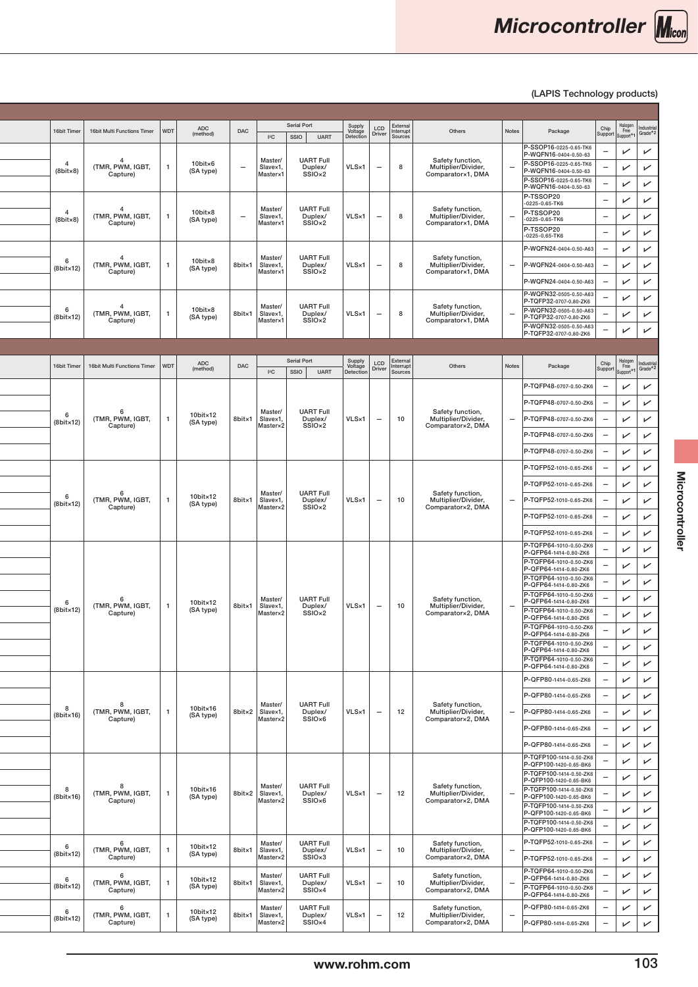#### $16\text{LPHS}$  Technology products)

| <b>WDT</b> | 16bit Multi Functions Timer       |  |  | ADC<br>(method)                   | DAC                      | $ ^{2}C$                        | <b>Serial Port</b><br>$ $ SSIO $ $<br><b>UART</b> | Supply<br>Voltage<br>Detection<br>LCD<br>Driver | External<br>Interrupt | Others                                                       | Notes                    | Package                                                                     | Halogen<br>Chip<br>Support<br>Support*1  | Industrial<br>Grade*2                                |                              |
|------------|-----------------------------------|--|--|-----------------------------------|--------------------------|---------------------------------|---------------------------------------------------|-------------------------------------------------|-----------------------|--------------------------------------------------------------|--------------------------|-----------------------------------------------------------------------------|------------------------------------------|------------------------------------------------------|------------------------------|
|            | 4                                 |  |  | $10$ bit $\times 6$               |                          | Master/                         | <b>UART Full</b>                                  |                                                 |                       | Safety function,                                             |                          | P-SSOP16-0225-0.65-TK6<br>P-WQFN16-0404-0.50-63<br>P-SSOP16-0225-0.65-TK6   | V                                        | $\checkmark$                                         |                              |
|            | (TMR, PWM, IGBT,<br>Capture)      |  |  | (SA type)                         | $\overline{\phantom{m}}$ | Slavex1,<br>Master×1            | Duplex/<br>SSIO <sub>x2</sub>                     | VLS×1<br>$\sim$                                 | 8                     | Multiplier/Divider,<br>Comparator×1, DMA                     |                          | P-WQFN16-0404-0.50-63<br>P-SSOP16-0225-0.65-TK6                             | ↙                                        | $\checkmark$<br>V.<br>$\checkmark$                   |                              |
|            |                                   |  |  |                                   |                          |                                 |                                                   |                                                 |                       |                                                              |                          | P-WQFN16-0404-0.50-63<br>P-TSSOP20<br>$-0225 - 0.65 - TK6$                  | V<br>$\overline{\phantom{0}}$            | $\checkmark$                                         |                              |
|            | 4<br>(TMR, PWM, IGBT,<br>Capture) |  |  | $10$ bit $\times 8$<br>(SA type)  | $\overline{\phantom{0}}$ | Master/<br>Slavex1,<br>Master×1 | <b>UART Full</b><br>Duplex/<br>SSIO <sub>x2</sub> | VLS×1<br>$\overline{\phantom{0}}$               | 8                     | Safety function,<br>Multiplier/Divider,<br>Comparator×1, DMA |                          | P-TSSOP20<br>$-0225 - 0.65 - TK6$                                           | $\checkmark$<br>$\overline{\phantom{0}}$ | レ                                                    |                              |
|            |                                   |  |  |                                   |                          |                                 |                                                   |                                                 |                       |                                                              |                          | P-TSSOP20<br>$-0225 - 0.65 - TK6$                                           | V<br>$\overline{\phantom{0}}$            | $\overline{\phantom{0}}$                             |                              |
|            | (TMR, PWM, IGBT,                  |  |  | 10bit×8                           | 8bit×1                   | Master/<br>Slavex1,             | <b>UART Full</b><br>Duplex/                       | VLS×1<br>$\overline{\phantom{0}}$               | 8                     | Safety function,<br>Multiplier/Divider,                      | $\overline{\phantom{0}}$ | P-WQFN24-0404-0.50-A63<br>P-WQFN24-0404-0.50-A63                            | $\checkmark$<br>$\sqrt{ }$               | $\overline{\phantom{0}}$<br>$\overline{\phantom{0}}$ |                              |
|            | Capture)                          |  |  | (SA type)                         |                          | Master×1                        | SSIO <sub>×2</sub>                                |                                                 |                       | Comparator×1, DMA                                            |                          | P-WQFN24-0404-0.50-A63                                                      | V                                        | $\overline{v}$                                       |                              |
|            |                                   |  |  |                                   |                          |                                 |                                                   |                                                 |                       |                                                              |                          | P-WQFN32-0505-0.50-A63<br>P-TQFP32-0707-0.80-ZK6                            | $\checkmark$                             | $\checkmark$                                         |                              |
|            | (TMR, PWM, IGBT,<br>Capture)      |  |  | 10bit×8<br>(SA type)              | 8bit×1                   | Master/<br>Slavex1,<br>Master×1 | <b>UART Full</b><br>Duplex/<br>SSIO <sub>×2</sub> | VLS×1<br>$\sim$                                 | 8                     | Safety function,<br>Multiplier/Divider,<br>Comparator×1, DMA |                          | P-WQFN32-0505-0.50-A63<br>P-TQFP32-0707-0.80-ZK6                            | V                                        | $\overline{v}$                                       |                              |
|            |                                   |  |  |                                   |                          |                                 |                                                   |                                                 |                       |                                                              |                          | P-WQFN32-0505-0.50-A63<br>P-TQFP32-0707-0.80-ZK6                            | V                                        | レ                                                    |                              |
|            |                                   |  |  | ADC                               |                          |                                 | Serial Port                                       | LCD                                             | External              |                                                              |                          |                                                                             | Halogen<br>Free                          |                                                      |                              |
| <b>WDT</b> | 16bit Multi Functions Timer       |  |  | (method)                          | DAC                      | $ ^{2}C$                        | SSIO UART                                         | Supply<br>Voltage<br>Detection<br>Driver        | Interrupt<br>Sources  | Others                                                       | Notes                    | Package                                                                     | Chip<br>Support<br>Support*              | Industria<br>1 Grade <sup>*2</sup>                   |                              |
|            |                                   |  |  |                                   |                          |                                 |                                                   |                                                 |                       |                                                              |                          | P-TQFP48-0707-0.50-ZK6<br>P-TQFP48-0707-0.50-ZK6                            | V<br>↙                                   | $\checkmark$<br>$\checkmark$                         |                              |
|            | (TMR, PWM, IGBT,                  |  |  | 10bit×12<br>(SA type)             | 8bit×1                   | Master/<br>Slavex1,             | <b>UART Full</b><br>Duplex/                       | VLS×1<br>$\overline{\phantom{0}}$               | 10                    | Safety function,<br>Multiplier/Divider,                      | $\overline{\phantom{0}}$ | P-TQFP48-0707-0.50-ZK6                                                      | $\sqrt{ }$                               | $\overline{ }$                                       |                              |
|            | Capture)                          |  |  |                                   |                          | Master×2                        | SSIO <sub>x2</sub>                                |                                                 |                       | Comparator×2, DMA                                            |                          | P-TQFP48-0707-0.50-ZK6                                                      | ↙                                        | $\checkmark$                                         |                              |
|            |                                   |  |  |                                   |                          |                                 |                                                   |                                                 |                       |                                                              |                          | P-TQFP48-0707-0.50-ZK6                                                      | $\sqrt{ }$                               | $\checkmark$                                         |                              |
|            |                                   |  |  |                                   |                          |                                 |                                                   |                                                 |                       |                                                              |                          | P-TQFP52-1010-0.65-ZK6                                                      | V                                        | $\overline{ }$                                       |                              |
|            | (TMR, PWM, IGBT,                  |  |  | 10bit×12                          | 8bit×1                   | Master/<br>Slavex1,             | <b>UART Full</b><br>Duplex/                       | VLS×1<br>$\overline{\phantom{0}}$               | 10                    | Safety function,<br>Multiplier/Divider,                      | $\overline{\phantom{0}}$ | P-TQFP52-1010-0.65-ZK6<br>P-TQFP52-1010-0.65-ZK6                            | V<br>$\checkmark$                        | $\checkmark$<br>$\checkmark$                         |                              |
|            | Capture)                          |  |  | (SA type)                         |                          | Master×2                        | SSIO <sub>×2</sub>                                |                                                 |                       | Comparator×2, DMA                                            |                          | P-TQFP52-1010-0.65-ZK6                                                      | V                                        | $\overline{ }$                                       |                              |
|            |                                   |  |  |                                   |                          |                                 |                                                   |                                                 |                       |                                                              |                          | P-TQFP52-1010-0.65-ZK6                                                      | V                                        | $\checkmark$                                         |                              |
|            |                                   |  |  |                                   |                          |                                 |                                                   |                                                 |                       |                                                              |                          | P-TQFP64-1010-0.50-ZK6<br>P-QFP64-1414-0.80-ZK6                             | V                                        | $\checkmark$                                         |                              |
|            |                                   |  |  |                                   |                          |                                 |                                                   |                                                 |                       |                                                              |                          | P-TQFP64-1010-0.50-ZK6<br>P-QFP64-1414-0.80-ZK6<br>P-TQFP64-1010-0.50-ZK6   | $\checkmark$                             | $\checkmark$                                         |                              |
|            |                                   |  |  |                                   |                          |                                 |                                                   |                                                 |                       |                                                              |                          | P-QFP64-1414-0.80-ZK6<br>P-TQFP64-1010-0.50-ZK6                             | V<br>V                                   | $\checkmark$<br>$\checkmark$                         |                              |
|            | (TMR, PWM, IGBT,<br>Capture)      |  |  | 10bit×12<br>(SA type)             | 8bit×1                   | Master/<br>Slavex1,<br>Master×2 | <b>UART Full</b><br>Duplex/<br>SSIO <sub>x2</sub> | VLS×1<br>$\sim$                                 | 10                    | Safety function,<br>Multiplier/Divider,<br>Comparator×2, DMA |                          | P-QFP64-1414-0.80-ZK6<br>P-TQFP64-1010-0.50-ZK6<br>P-QFP64-1414-0.80-ZK6    | $\checkmark$                             | $\overline{V}$                                       |                              |
|            |                                   |  |  |                                   |                          |                                 |                                                   |                                                 |                       |                                                              |                          | P-TQFP64-1010-0.50-ZK6<br>P-QFP64-1414-0.80-ZK6                             | $\overline{\phantom{0}}$                 |                                                      | $\overline{\phantom{0}}$     |
|            |                                   |  |  |                                   |                          |                                 |                                                   |                                                 |                       |                                                              |                          | P-TQFP64-1010-0.50-ZK6<br>P-QFP64-1414-0.80-ZK6                             | ↙                                        |                                                      | $\checkmark$                 |
|            |                                   |  |  |                                   |                          |                                 |                                                   |                                                 |                       |                                                              |                          | P-TQFP64-1010-0.50-ZK6<br>P-QFP64-1414-0.80-ZK6                             | $\sqrt{ }$                               |                                                      | $\sqrt{ }$<br>$\overline{v}$ |
|            |                                   |  |  |                                   |                          |                                 |                                                   |                                                 |                       |                                                              |                          | P-QFP80-1414-0.65-ZK6<br>P-QFP80-1414-0.65-ZK6                              | $\checkmark$<br>$\checkmark$             | $\checkmark$                                         |                              |
|            | 8<br>(TMR, PWM, IGBT,             |  |  | $10$ bit $\times$ 16<br>(SA type) |                          | Master/<br>8bit×2 Slave×1,      | <b>UART Full</b><br>Duplex/                       | VLS×1<br>$-$                                    | 12                    | Safety function,<br>Multiplier/Divider,                      | $-$                      | P-QFP80-1414-0.65-ZK6                                                       | $\sqrt{ }$                               | $\checkmark$                                         |                              |
|            | Capture)                          |  |  |                                   |                          | Master×2                        | SSIO <sub>x6</sub>                                |                                                 |                       | Comparator×2, DMA                                            |                          | P-QFP80-1414-0.65-ZK6                                                       | $\checkmark$                             |                                                      | $\checkmark$                 |
|            |                                   |  |  |                                   |                          |                                 |                                                   |                                                 |                       |                                                              |                          | P-QFP80-1414-0.65-ZK6<br>P-TQFP100-1414-0.50-ZK6                            | $\checkmark$                             |                                                      | $\checkmark$                 |
|            |                                   |  |  |                                   |                          |                                 |                                                   |                                                 |                       |                                                              |                          | P-QFP100-1420-0.65-BK6<br>P-TQFP100-1414-0.50-ZK6                           | $\checkmark$<br>V                        | $\checkmark$<br>$\overline{v}$                       |                              |
|            | 8<br>(TMR, PWM, IGBT,             |  |  | 10bit×16                          | 8bit×2                   | Master/<br>Slavex1,             | <b>UART Full</b><br>Duplex/                       | VLS×1<br>$-$                                    | 12                    | Safety function,<br>Multiplier/Divider,                      | $\overline{\phantom{0}}$ | P-QFP100-1420-0.65-BK6<br>P-TQFP100-1414-0.50-ZK6<br>P-QFP100-1420-0.65-BK6 | V                                        | $\checkmark$                                         |                              |
|            | Capture)                          |  |  | (SA type)                         |                          | Master×2                        | SSIO <sub>x6</sub>                                |                                                 |                       | Comparator×2, DMA                                            |                          | P-TQFP100-1414-0.50-ZK6<br>P-QFP100-1420-0.65-BK6                           | V                                        |                                                      | $\checkmark$                 |
|            |                                   |  |  |                                   |                          |                                 |                                                   |                                                 |                       |                                                              |                          | P-TQFP100-1414-0.50-ZK6<br>P-QFP100-1420-0.65-BK6                           | $\checkmark$                             |                                                      | $\checkmark$                 |
|            | -6<br>(TMR, PWM, IGBT,            |  |  | $10$ bit $\times$ 12<br>(SA type) | 8bit×1                   | Master/<br>Slavex1,             | <b>UART Full</b><br>Duplex/                       | VLS×1<br>$\overline{\phantom{0}}$               | 10                    | Safety function,<br>Multiplier/Divider,                      | -                        | P-TQFP52-1010-0.65-ZK6                                                      | V                                        | $\checkmark$                                         |                              |
|            | Capture)                          |  |  |                                   |                          | Master×2                        | SSIO <sub>x</sub> 3                               |                                                 |                       | Comparator×2, DMA                                            |                          | P-TQFP52-1010-0.65-ZK6<br>P-TQFP64-1010-0.50-ZK6                            | $\mathcal{V}$                            | $\checkmark$<br>$\checkmark$                         |                              |
|            | (TMR, PWM, IGBT,<br>Capture)      |  |  | 10bit×12<br>(SA type)             | 8bit×1                   | Master/<br>Slavex1,<br>Master×2 | <b>UART Full</b><br>Duplex/<br>SSIO <sub>x4</sub> | VLS×1<br>$\sim$                                 | 10                    | Safety function,<br>Multiplier/Divider,<br>Comparator×2, DMA |                          | P-QFP64-1414-0.80-ZK6<br>P-TQFP64-1010-0.50-ZK6                             | $\checkmark$<br>V                        | レ                                                    |                              |
|            | 6                                 |  |  | 10bit×12                          |                          | Master/                         | <b>UART Full</b>                                  |                                                 |                       | Safety function,                                             |                          | P-QFP64-1414-0.80-ZK6<br>P-QFP80-1414-0.65-ZK6                              | V                                        | $\checkmark$                                         |                              |
|            | (TMR, PWM, IGBT,<br>Capture)      |  |  | (SA type)                         |                          | 8bit×1 Slave×1,<br>Master×2     | Duplex/<br>SSIO×4                                 | VLS×1<br>$\overline{\phantom{0}}$               | 12                    | Multiplier/Divider,<br>Comparator×2, DMA                     |                          | P-QFP80-1414-0.65-ZK6                                                       | $\checkmark$                             | $\overline{\phantom{0}}$                             |                              |
|            |                                   |  |  |                                   |                          |                                 |                                                   |                                                 |                       |                                                              |                          |                                                                             |                                          |                                                      |                              |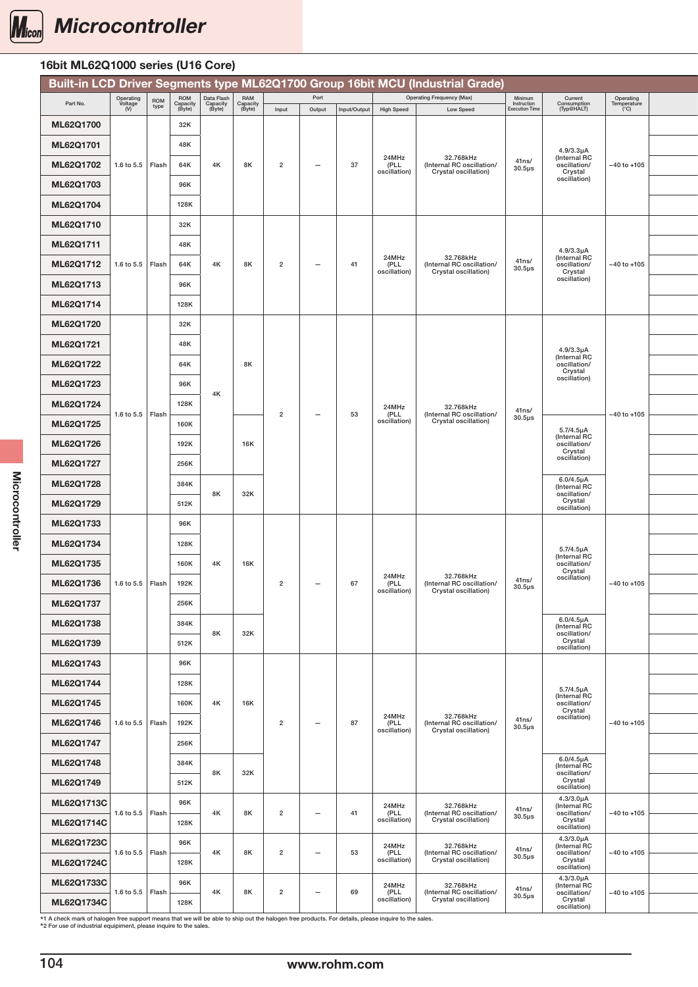

### 16bit ML62Q1000 series (U16 Core)

|            |                                           |                |                                                      |                           |                |                                 |    |                                | Built-in LCD Driver Segments type ML62Q1700 Group 16bit MCU (Industrial Grade) |                                          |                                                         |                                  |  |
|------------|-------------------------------------------|----------------|------------------------------------------------------|---------------------------|----------------|---------------------------------|----|--------------------------------|--------------------------------------------------------------------------------|------------------------------------------|---------------------------------------------------------|----------------------------------|--|
| Part No.   | Operating<br>Voltage<br>(V)<br>$ROM$ type |                | ROM Data Flash<br>Capacity Capacity<br>(Byte) (Byte) | RAM<br>Capacity<br>(Byte) |                | Port                            |    |                                | <b>Operating Frequency (Max)</b>                                               | Minimum<br>Instruction<br>Execution Time | Current<br>Consumption<br>(Typ@HALT)                    | Operating<br>Temperature<br>(°C) |  |
| ML62Q1700  |                                           | 32K            |                                                      |                           | Input          | Output                          |    | Input/Output   High Speed      | Low Speed                                                                      |                                          |                                                         |                                  |  |
|            |                                           | 48K            |                                                      |                           |                |                                 |    |                                |                                                                                |                                          |                                                         |                                  |  |
| ML62Q1701  |                                           |                |                                                      |                           |                |                                 |    | 24MHz                          | 32.768kHz                                                                      | 41ns/                                    | 4.9/3.3µA<br>(Internal RC                               |                                  |  |
| ML62Q1702  | 1.6 to 5.5   Flash                        | 64K            | $4\mathrm{K}$                                        | 8K                        | $\overline{2}$ | $ \,$                           | 37 | (PLL<br>oscillation)           | (Internal RC oscillation/<br>Crystal oscillation)                              | $30.5\mu s$                              | oscillation/<br>Crystal<br>oscillation)                 | $-40$ to $+105$                  |  |
| ML62Q1703  |                                           | 96K            |                                                      |                           |                |                                 |    |                                |                                                                                |                                          |                                                         |                                  |  |
| ML62Q1704  |                                           | 128K           |                                                      |                           |                |                                 |    |                                |                                                                                |                                          |                                                         |                                  |  |
| ML62Q1710  |                                           | 32K            |                                                      |                           |                |                                 |    |                                |                                                                                |                                          |                                                         |                                  |  |
| ML62Q1711  |                                           | $48\mathsf{K}$ |                                                      |                           |                |                                 |    |                                |                                                                                |                                          | $4.9/3.3\mu A$                                          |                                  |  |
| ML62Q1712  | 1.6 to 5.5   Flash                        | 64K            | $4\mathsf{K}$                                        | 8K                        | $\overline{2}$ | $ \,$                           | 41 | 24MHz<br>(PLL)<br>oscillation) | 32.768kHz<br>(Internal RC oscillation/<br>Crystal oscillation)                 | 41ns/<br>$30.5\mu s$                     | (Internal RC<br>oscillation/<br>Crystal<br>oscillation) | $-40$ to $+105$                  |  |
| ML62Q1713  |                                           | 96K            |                                                      |                           |                |                                 |    |                                |                                                                                |                                          |                                                         |                                  |  |
| ML62Q1714  |                                           | 128K           |                                                      |                           |                |                                 |    |                                |                                                                                |                                          |                                                         |                                  |  |
| ML62Q1720  |                                           | 32K            |                                                      |                           |                |                                 |    |                                |                                                                                |                                          |                                                         |                                  |  |
| ML62Q1721  |                                           | 48K            |                                                      |                           |                |                                 |    |                                |                                                                                |                                          |                                                         |                                  |  |
| ML62Q1722  |                                           | 64K            |                                                      | 8K                        |                |                                 |    |                                |                                                                                |                                          | $4.9/3.3\mu A$<br>(Internal RC<br>oscillation/          |                                  |  |
| ML62Q1723  |                                           | 96K            |                                                      |                           |                |                                 |    |                                |                                                                                |                                          | Crystal<br>oscillation)                                 |                                  |  |
| ML62Q1724  |                                           | 128K           | 4K                                                   |                           |                |                                 |    |                                |                                                                                |                                          |                                                         |                                  |  |
| ML62Q1725  | 1.6 to 5.5   Flash                        | 160K           |                                                      |                           | $\overline{2}$ | $\sim$                          | 53 | 24MHz<br>PCL<br>oscillation)   | 32.768kHz<br>(Internal RC oscillation/<br>Crystal oscillation)                 | $\frac{41 \text{ns}}{30.5 \text{ps}}$    |                                                         | $-40$ to $+105$                  |  |
|            |                                           |                |                                                      |                           |                |                                 |    |                                |                                                                                |                                          | 5.7/4.5µA<br>(Internal RC                               |                                  |  |
| ML62Q1726  |                                           | 192K           |                                                      | 16K                       |                |                                 |    |                                |                                                                                |                                          | oscillation/<br>Crystal<br>oscillation)                 |                                  |  |
| ML62Q1727  |                                           | 256K           |                                                      |                           |                |                                 |    |                                |                                                                                |                                          | $6.0/4.5\mu A$                                          |                                  |  |
| ML62Q1728  |                                           | 384K           | 8K                                                   | 32K                       |                |                                 |    |                                |                                                                                |                                          | (Internal RC<br>oscillation/                            |                                  |  |
| ML62Q1729  |                                           | 512K           |                                                      |                           |                |                                 |    |                                |                                                                                |                                          | Crystal<br>oscillation)                                 |                                  |  |
| ML62Q1733  |                                           | 96K            |                                                      |                           |                |                                 |    |                                |                                                                                |                                          |                                                         |                                  |  |
| ML62Q1734  |                                           | 128K           |                                                      |                           |                |                                 |    |                                |                                                                                |                                          | 5.7/4.5µA<br>(Internal RC                               |                                  |  |
| ML62Q1735  |                                           | 160K           | 4K                                                   | 16K                       |                |                                 |    |                                |                                                                                |                                          | oscillation/<br>Crystal                                 |                                  |  |
| ML62Q1736  | 1.6 to 5.5   Flash                        | 192K           |                                                      |                           | $\overline{2}$ | $\equiv$                        | 67 | 24MHz<br>(PLL<br>oscillation)  | 32.768kHz<br>(Internal RC oscillation/<br>Crystal oscillation)                 | 41ns/<br>$30.5\mu s$                     | oscillation)                                            | $-40$ to $+105$                  |  |
| ML62Q1737  |                                           | 256K           |                                                      |                           |                |                                 |    |                                |                                                                                |                                          |                                                         |                                  |  |
| ML62Q1738  |                                           | 384K           |                                                      |                           |                |                                 |    |                                |                                                                                |                                          | $6.0/4.5\mu A$<br>(Internal RC                          |                                  |  |
| ML62Q1739  |                                           | 512K           | 8K                                                   | 32K                       |                |                                 |    |                                |                                                                                |                                          | oscillation/<br>Crystal<br>oscillation)                 |                                  |  |
| ML62Q1743  |                                           | 96K            |                                                      |                           |                |                                 |    |                                |                                                                                |                                          |                                                         |                                  |  |
| ML62Q1744  |                                           | 128K           |                                                      |                           |                |                                 |    |                                |                                                                                |                                          |                                                         |                                  |  |
|            |                                           |                |                                                      |                           |                |                                 |    |                                |                                                                                |                                          | 5.7/4.5µA<br>(Internal RC                               |                                  |  |
| ML62Q1745  |                                           | 160K           | 4K                                                   | 16K                       |                |                                 |    | 24MHz                          | 32.768kHz                                                                      | 41ns/                                    | oscillation/<br>Crystal<br>oscillation)                 |                                  |  |
| ML62Q1746  | 1.6 to 5.5   Flash                        | 192K           |                                                      |                           | $\overline{2}$ | $\hspace{0.1mm}-\hspace{0.1mm}$ | 87 | (PLL<br>oscillation)           | (Internal RC oscillation/<br>Crystal oscillation)                              | $30.5\mu$ s                              |                                                         | $-40$ to $+105$                  |  |
| ML62Q1747  |                                           | 256K           |                                                      |                           |                |                                 |    |                                |                                                                                |                                          | $6.0/4.5\mu A$                                          |                                  |  |
| ML62Q1748  |                                           | 384K           | 8K                                                   | 32K                       |                |                                 |    |                                |                                                                                |                                          | (Internal RC<br>oscillation/                            |                                  |  |
| ML62Q1749  |                                           | 512K           |                                                      |                           |                |                                 |    |                                |                                                                                |                                          | Crystal<br>oscillation)                                 |                                  |  |
| ML62Q1713C | 1.6 to 5.5 Flash                          | 96K            | 4K                                                   | 8K                        | $\overline{2}$ | $\overline{\phantom{a}}$        | 41 | 24MHz<br>(PLL                  | 32.768kHz<br>(Internal RC oscillation/                                         | 41ns/                                    | $4.3/3.0\mu A$<br>(Internal RC<br>oscillation/          | $-40$ to $+105$                  |  |
| ML62Q1714C |                                           | 128K           |                                                      |                           |                |                                 |    | oscillation)                   | Crystal oscillation)                                                           | $30.5\mu s$                              | Crystal<br>oscillation)                                 |                                  |  |
| ML62Q1723C | 1.6 to 5.5   Flash                        | 96K            | 4K                                                   | 8K                        | $\overline{2}$ |                                 | 53 | 24MHz<br>(PLL                  | 32.768kHz<br>(Internal RC oscillation/                                         | 41ns/                                    | 4.3/3.0µA<br>(Internal RC<br>oscillation/               | $-40$ to $+105$                  |  |
| ML62Q1724C |                                           | 128K           |                                                      |                           |                | $\overline{\phantom{a}}$        |    | oscillation)                   | Crystal oscillation)                                                           | $30.5\mu s$                              | Crystal<br>oscillation)                                 |                                  |  |
| ML62Q1733C |                                           | 96K            |                                                      |                           |                |                                 |    | 24MHz                          | 32.768kHz                                                                      | 41ns/                                    | $4.3/3.0\mu A$<br>(Internal RC                          |                                  |  |
| ML62Q1734C | 1.6 to 5.5   Flash                        | 128K           | 4K                                                   | 8K                        | $\overline{2}$ | $\overline{\phantom{a}}$        | 69 | (PLL<br>oscillation)           | (Internal RC oscillation/<br>Crystal oscillation)                              | $30.5\mu$ s                              | oscillation/<br>Crystal<br>oscillation)                 | $-40$ to $+105$                  |  |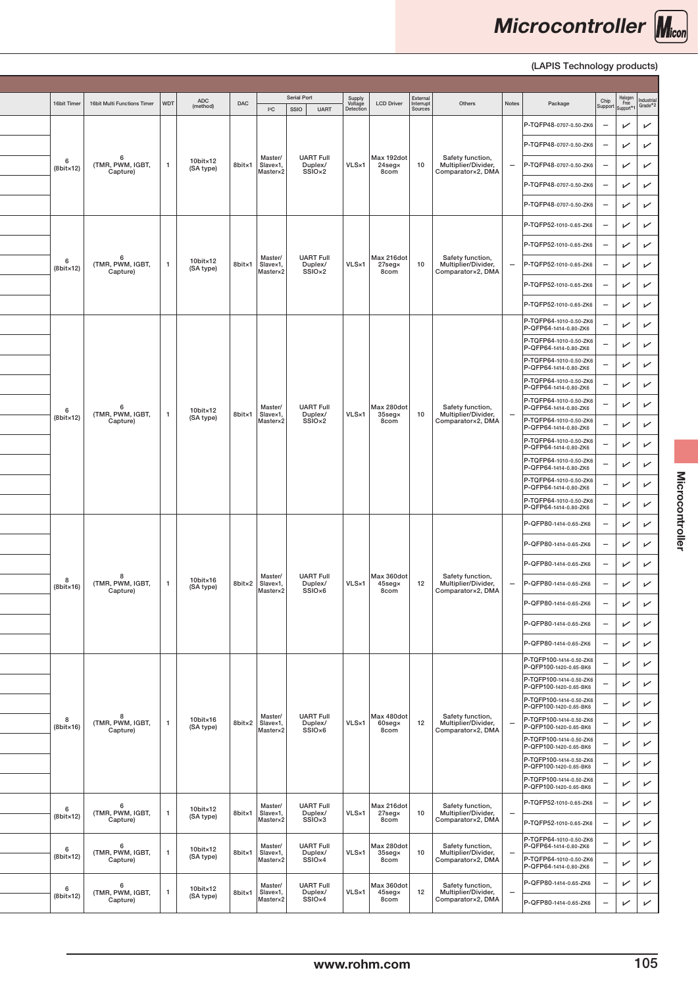# Microcontroller Micon



| 16bit Timer<br>16bit Multi Functions Timer    | DAC    |                 | 2C                              | Serial Port<br><b>UART</b><br>$ $ ssio $ $         | Supply<br>Voltage<br>Detection | <b>LCD Driver</b>                       | External<br>Interrupt<br>Sources | Others                                                       | Notes | Package                                                                  |                          | Chip Halogen Industrial<br>Support Support*1 Grade*2 |                            |
|-----------------------------------------------|--------|-----------------|---------------------------------|----------------------------------------------------|--------------------------------|-----------------------------------------|----------------------------------|--------------------------------------------------------------|-------|--------------------------------------------------------------------------|--------------------------|------------------------------------------------------|----------------------------|
|                                               |        |                 |                                 |                                                    |                                |                                         |                                  |                                                              |       | P-TQFP48-0707-0.50-ZK6                                                   | -                        | $\checkmark$                                         | $\checkmark$               |
|                                               |        |                 |                                 |                                                    |                                |                                         |                                  |                                                              |       | P-TQFP48-0707-0.50-ZK6                                                   | $\qquad \qquad -$        | $\checkmark$                                         | $\checkmark$               |
| - 6<br>(TMR, PWM, IGBT,<br>$(8bit \times 12)$ | 8bit×1 |                 | Master/<br>Slavex1,<br>Master×2 | <b>UART Full</b><br>Duplex/<br>SSIO <sub>x2</sub>  | VLS×1                          | Max 192dot<br>24seg×<br>8com            | 10                               | Safety function,<br>Multiplier/Divider,<br>Comparator×2, DMA |       | P-TQFP48-0707-0.50-ZK6                                                   | $\overline{\phantom{m}}$ | $\checkmark$                                         | $\checkmark$               |
|                                               |        |                 |                                 |                                                    |                                |                                         |                                  |                                                              |       | P-TQFP48-0707-0.50-ZK6                                                   |                          | $\checkmark$                                         | $\checkmark$               |
|                                               |        |                 |                                 |                                                    |                                |                                         |                                  |                                                              |       | P-TQFP48-0707-0.50-ZK6                                                   | $\qquad \qquad -$        | $\checkmark$                                         | $\checkmark$               |
|                                               |        |                 |                                 |                                                    |                                |                                         |                                  |                                                              |       | P-TQFP52-1010-0.65-ZK6                                                   | -                        | $\checkmark$                                         | $\checkmark$               |
|                                               |        |                 | Master/                         | <b>UART Full</b>                                   |                                | Max 216dot                              |                                  | Safety function,                                             |       | P-TQFP52-1010-0.65-ZK6                                                   | -                        | $\checkmark$                                         | $\checkmark$               |
| - 6<br>(TMR, PWM, IGBT,<br>$(8bit \times 12)$ | 8bit×1 |                 | Slavex1,<br>Master×2            | Duplex/<br>SSIO <sub>x2</sub>                      | $VLS\times1$                   | 27seg×<br>8com                          | 10                               | Multiplier/Divider,<br>Comparator×2, DMA                     |       | P-TQFP52-1010-0.65-ZK6                                                   | -                        | $\checkmark$                                         | $\checkmark$               |
|                                               |        |                 |                                 |                                                    |                                |                                         |                                  |                                                              |       | P-TQFP52-1010-0.65-ZK6                                                   | $\overline{\phantom{m}}$ | $\checkmark$                                         | $\sqrt{ }$                 |
|                                               |        |                 |                                 |                                                    |                                |                                         |                                  |                                                              |       | P-TQFP52-1010-0.65-ZK6<br>P-TQFP64-1010-0.50-ZK6                         |                          | $\checkmark$                                         | $\checkmark$               |
|                                               |        |                 |                                 |                                                    |                                |                                         |                                  |                                                              |       | P-QFP64-1414-0.80-ZK6<br>P-TQFP64-1010-0.50-ZK6                          |                          | $\checkmark$                                         | $\checkmark$               |
|                                               |        |                 |                                 |                                                    |                                |                                         |                                  |                                                              |       | P-QFP64-1414-0.80-ZK6<br>P-TQFP64-1010-0.50-ZK6                          |                          | $\checkmark$                                         | $\checkmark$               |
|                                               |        |                 |                                 |                                                    |                                |                                         |                                  |                                                              |       | P-QFP64-1414-0.80-ZK6<br>P-TQFP64-1010-0.50-ZK6                          |                          | $\checkmark$                                         | $\checkmark$               |
|                                               |        |                 |                                 |                                                    |                                |                                         |                                  |                                                              |       | P-QFP64-1414-0.80-ZK6<br>P-TQFP64-1010-0.50-ZK6                          | -                        | $\checkmark$<br>$\checkmark$                         | $\checkmark$<br>$\sqrt{ }$ |
| - 6<br>(TMR, PWM, IGBT,<br>$(8bit \times 12)$ | 8bit×1 |                 | Master/<br>Slavex1,<br>Master×2 | <b>UART Full</b><br>Duplex/<br>SSIO <sub>x2</sub>  | VLS×1                          | Max 280dot<br>35seg×<br>8com            | 10                               | Safety function,<br>Multiplier/Divider,<br>Comparator×2, DMA |       | P-QFP64-1414-0.80-ZK6<br>P-TQFP64-1010-0.50-ZK6                          |                          | $\checkmark$                                         | $\checkmark$               |
|                                               |        |                 |                                 |                                                    |                                |                                         |                                  |                                                              |       | P-QFP64-1414-0.80-ZK6<br>P-TQFP64-1010-0.50-ZK6                          |                          | $\checkmark$                                         | $\checkmark$               |
|                                               |        |                 |                                 |                                                    |                                |                                         |                                  |                                                              |       | P-QFP64-1414-0.80-ZK6<br>P-TQFP64-1010-0.50-ZK6                          |                          | $\checkmark$                                         | $\checkmark$               |
|                                               |        |                 |                                 |                                                    |                                |                                         |                                  |                                                              |       | P-QFP64-1414-0.80-ZK6<br>P-TQFP64-1010-0.50-ZK6                          |                          | $\checkmark$                                         | $\checkmark$               |
|                                               |        |                 |                                 |                                                    |                                |                                         |                                  |                                                              |       | P-QFP64-1414-0.80-ZK6<br>P-TQFP64-1010-0.50-ZK6<br>P-QFP64-1414-0.80-ZK6 |                          | $\checkmark$                                         | $\checkmark$               |
|                                               |        |                 |                                 |                                                    |                                |                                         |                                  |                                                              |       | P-QFP80-1414-0.65-ZK6                                                    | $\overline{\phantom{m}}$ | $\checkmark$                                         | $\checkmark$               |
|                                               |        |                 |                                 |                                                    |                                |                                         |                                  |                                                              |       | P-QFP80-1414-0.65-ZK6                                                    |                          | $\checkmark$                                         | $\checkmark$               |
|                                               |        |                 |                                 |                                                    |                                |                                         |                                  |                                                              |       | P-QFP80-1414-0.65-ZK6                                                    | -                        | $\checkmark$                                         | $\checkmark$               |
| (TMR, PWM, IGBT,<br>$(8bit \times 16)$        |        | 8bit×2 Slave×1, | Master/<br>Master×2             | <b>UART Full</b><br>Duplex/<br>SSIO <sub>x6</sub>  | VLS×1                          | Max 360dot<br>45seg×<br>8com            | 12                               | Safety function,<br>Multiplier/Divider,<br>Comparator×2, DMA |       | P-QFP80-1414-0.65-ZK6                                                    | $\qquad \qquad -$        | $\checkmark$                                         | $\checkmark$               |
|                                               |        |                 |                                 |                                                    |                                |                                         |                                  |                                                              |       | P-QFP80-1414-0.65-ZK6                                                    | $\overline{\phantom{0}}$ | $\checkmark$                                         | $\checkmark$               |
|                                               |        |                 |                                 |                                                    |                                |                                         |                                  |                                                              |       | P-QFP80-1414-0.65-ZK6                                                    | -                        | $\sqrt{ }$                                           | $\checkmark$               |
|                                               |        |                 |                                 |                                                    |                                |                                         |                                  |                                                              |       | P-QFP80-1414-0.65-ZK6                                                    | $\overline{\phantom{0}}$ | $\sqrt{ }$                                           | $\checkmark$               |
|                                               |        |                 |                                 |                                                    |                                |                                         |                                  |                                                              |       | P-TQFP100-1414-0.50-ZK6<br>P-QFP100-1420-0.65-BK6                        |                          | $\checkmark$                                         | $\sqrt{ }$                 |
|                                               |        |                 |                                 |                                                    |                                |                                         |                                  |                                                              |       | P-TQFP100-1414-0.50-ZK6<br>P-QFP100-1420-0.65-BK6                        |                          | $\checkmark$                                         | $\checkmark$               |
|                                               |        |                 |                                 | <b>UART Full</b>                                   |                                | Max 480dot                              |                                  |                                                              |       | P-TQFP100-1414-0.50-ZK6<br>P-QFP100-1420-0.65-BK6                        |                          | $\checkmark$                                         | $\checkmark$               |
| -8<br>(TMR, PWM, IGBT,<br>$(8bit \times 16)$  |        | 8bit×2 Slave×1, | Master/<br>Master×2             | Duplex/<br>SSIO <sub>x6</sub>                      | VLS×1                          | $60$ seg $\times$<br>8com               | 12                               | Safety function,<br>Multiplier/Divider,<br>Comparator×2, DMA |       | P-TQFP100-1414-0.50-ZK6<br>P-QFP100-1420-0.65-BK6                        |                          | $\sqrt{ }$                                           | $\checkmark$               |
|                                               |        |                 |                                 |                                                    |                                |                                         |                                  |                                                              |       | P-TQFP100-1414-0.50-ZK6<br>P-QFP100-1420-0.65-BK6                        |                          | $\checkmark$                                         | $\checkmark$               |
|                                               |        |                 |                                 |                                                    |                                |                                         |                                  |                                                              |       | P-TQFP100-1414-0.50-ZK6<br>P-QFP100-1420-0.65-BK6                        | -                        | $\checkmark$                                         | $\checkmark$               |
|                                               |        |                 |                                 |                                                    |                                |                                         |                                  |                                                              |       | P-TQFP100-1414-0.50-ZK6<br>P-QFP100-1420-0.65-BK6                        |                          | $\checkmark$                                         | $\sqrt{ }$                 |
| - 6<br>(TMR, PWM, IGBT,<br>$(8bit \times 12)$ | 8bit×1 |                 | Master/<br>Slavex1,             | <b>UART Full</b><br>Duplex/<br>SSIO <sub>x</sub> 3 | $VLS\times1$                   | Max 216dot<br>27seg×                    | 10                               | Safety function,<br>Multiplier/Divider,                      |       | P-TQFP52-1010-0.65-ZK6                                                   | -                        | $\checkmark$                                         | $\sqrt{ }$                 |
|                                               |        |                 | Master×2                        |                                                    |                                | 8com                                    |                                  | Comparator×2, DMA                                            |       | P-TQFP52-1010-0.65-ZK6<br>P-TQFP64-1010-0.50-ZK6                         | $\qquad \qquad -$        | $\checkmark$                                         | $\checkmark$               |
| (TMR, PWM, IGBT,<br>$(8bit \times 12)$        |        | 8bit×1 Slave×1, | Master/<br>Master×2             | <b>UART Full</b><br>Duplex/<br>SSIO <sub>x4</sub>  | $VLS\times1$                   | Max 280dot<br>$35$ seg $\times$<br>8com | 10                               | Safety function,<br>Multiplier/Divider,<br>Comparator×2, DMA |       | P-QFP64-1414-0.80-ZK6<br>P-TQFP64-1010-0.50-ZK6                          |                          | $\sqrt{ }$                                           | $\checkmark$               |
|                                               |        |                 |                                 |                                                    |                                |                                         |                                  |                                                              |       | P-QFP64-1414-0.80-ZK6                                                    |                          | $\checkmark$                                         | $\checkmark$               |
| 6<br>(TMR, PWM, IGBT,<br>$(8bit \times 12)$   | 8bit×1 |                 | Master/<br>Slavex1,<br>Master×2 | <b>UART Full</b><br>Duplex/<br>SSIO <sub>x4</sub>  | VLS×1                          | Max 360dot<br>45seg×<br>8com            | 12                               | Safety function,<br>Multiplier/Divider,<br>Comparator×2, DMA |       | P-QFP80-1414-0.65-ZK6                                                    | $-$                      | $\checkmark$                                         | $\sqrt{ }$                 |
|                                               |        |                 |                                 |                                                    |                                |                                         |                                  |                                                              |       | P-QFP80-1414-0.65-ZK6                                                    | -                        | $\checkmark$                                         | $\sqrt{ }$                 |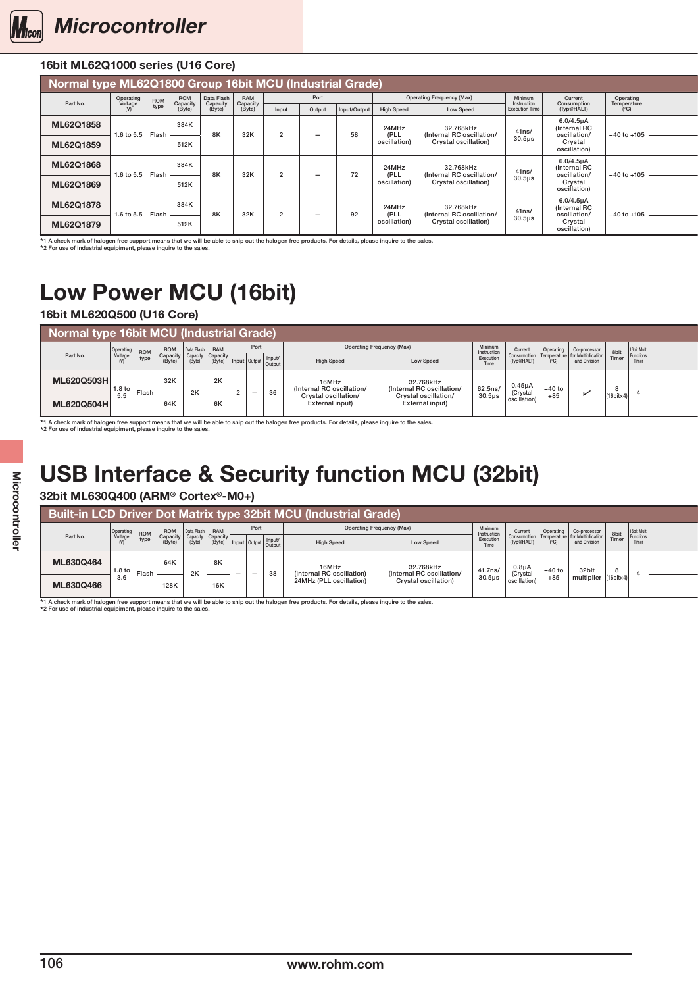<span id="page-6-0"></span>

# **Microcontroller**

#### 16bit ML62Q1000 series (U16 Core)

| Normal type ML62Q1800 Group 16bit MCU (Industrial Grade) |                             |                                  |                          |                                  |                           |        |                          |                                                   |                                                   |                                         |                                          |                                                |                                  |  |
|----------------------------------------------------------|-----------------------------|----------------------------------|--------------------------|----------------------------------|---------------------------|--------|--------------------------|---------------------------------------------------|---------------------------------------------------|-----------------------------------------|------------------------------------------|------------------------------------------------|----------------------------------|--|
| Part No.                                                 | Operating<br>Voltage<br>(V) | ROM<br>type                      | ROM<br>Capacit<br>(Byte) | Data Flash<br>Capacity<br>(Byte) | RAM<br>Capacity<br>(Byte) |        | Port                     |                                                   |                                                   | <b>Operating Frequency (Max)</b>        | Minimum<br>Instruction<br>Execution Time | Current                                        | Operating<br>Temperature<br>(°C) |  |
|                                                          |                             |                                  |                          |                                  |                           | Input  | Output                   | Input/Output                                      | <b>High Speed</b>                                 | Low Speed                               |                                          | Consumption<br>(Typ@HALT)                      |                                  |  |
| ML62Q1858                                                | 1.6 to 5.5 Flash            |                                  | 384K                     | 8K                               | 32K                       |        | $\overline{\phantom{0}}$ | 58                                                | 24MHz<br>(PLL                                     | 32.768kHz<br>(Internal RC oscillation/  | 41 <sub>ns</sub> /                       | $6.0/4.5\mu A$<br>(Internal RC<br>oscillation/ | $-40$ to $+105$                  |  |
| ML62Q1859                                                |                             |                                  | 512K                     |                                  |                           |        |                          |                                                   | oscillation                                       | Crystal oscillation)                    | $30.5\mu$ s                              | Crystal<br>oscillation)                        |                                  |  |
| ML62Q1868                                                |                             |                                  | 384K                     |                                  |                           | $\sim$ |                          | 72                                                | 24MHz                                             | 32.768kHz                               | $41ns/$<br>$30.5ps$                      | $6.0/4.5\mu A$<br>(Internal RC                 | $-40$ to $+105$                  |  |
| ML62Q1869                                                |                             | 8K<br>1.6 to 5.5   Flash<br>512K |                          | 32K                              |                           |        |                          | (PLL<br>oscillation                               | (Internal RC oscillation/<br>Crystal oscillation) |                                         | oscillation/<br>Crystal<br>oscillation)  |                                                |                                  |  |
| ML62Q1878                                                |                             |                                  | 384K                     |                                  |                           | $\sim$ |                          |                                                   | 24MHz                                             | 32.768kHz                               | 41ns/                                    | $6.0/4.5\muA$<br>(Internal RC                  |                                  |  |
| ML62Q1879                                                | 1.6 to 5.5 Flash<br>512K    | 8K                               | 32K                      |                                  | $\overline{\phantom{0}}$  | 92     | (PLL<br>oscillation      | (Internal RC oscillation/<br>Crystal oscillation) | $30.5µ$ s                                         | oscillation/<br>Crystal<br>oscillation) | $-40$ to $+105$                          |                                                |                                  |  |

\*1 A check mark of halogen free support means that we will be able to ship out the halogen free products. For details, please inquire to the sales.

\*2 For use of industrial equipiment, please inquire to the sales.

## Low Power MCU (16bit)

### 16bit ML620Q500 (U16 Core)

|                   | Normal type 16bit MCU (Industrial Grade) |           |               |                  |  |                                         |                                         |                                  |                          |                 |               |                   |       |       |  |
|-------------------|------------------------------------------|-----------|---------------|------------------|--|-----------------------------------------|-----------------------------------------|----------------------------------|--------------------------|-----------------|---------------|-------------------|-------|-------|--|
|                   |                                          | ROM       | ROM           | <b>RAM</b>       |  | Port                                    |                                         | <b>Operating Frequency (Max)</b> | Minimum<br>Instruction   | Current         | Operating     | Co-proces         | 8bit  |       |  |
| Part No.          |                                          | type      | (Byte)        | (Byte)<br>(Byte) |  |                                         | <b>High Speed</b>                       | Low Speed                        | Executio<br>Time         | (Typ@HAL)       | $(^{\circ}C)$ | and Division      | Timer | Timer |  |
| ML620Q503H        |                                          | 32K<br>2K | $\sim$<br>-40 |                  |  | 16MHz<br>(Internal RC oscillation/      | 32.768kHz<br>nal RC oscillation         |                                  | $0.45\mu A$              |                 |               |                   |       |       |  |
| <b>ML620Q504H</b> | <sup>1</sup> 1.8 to Flash<br>ວ.ວ         | 64K       | 6K            |                  |  | Crystal oscillation/<br>External input) | Crystal oscillation/<br>External input) | 62.5ns/<br>30.5µs                | (Crystal<br>oscillation) | $-40$ to<br>+85 |               | <sup>16bitx</sup> |       |       |  |

\*1 A check mark of halogen free support means that we will be able to ship out the halogen free products. For details, please inquire to the sales. \*2 For use of industrial equipiment, please inquire to the sales.

## USB Interface & Security function MCU (32bit)

### 32bit ML630Q400 (ARM® Cortex®-M0+)

### Built-in LCD Driver Dot Matrix type 32bit MCU (Industrial Grade

|           |               | ROM                                                                       | ROM                |                 | <b>DALA</b> | Port                                   |                                                               | <b>Operating Frequency (Max)</b>                  | Minimum<br>Instruction | Current                | <b>Opera</b>  | 8bit                          |  |
|-----------|---------------|---------------------------------------------------------------------------|--------------------|-----------------|-------------|----------------------------------------|---------------------------------------------------------------|---------------------------------------------------|------------------------|------------------------|---------------|-------------------------------|--|
| Part No.  | Voltage       | type                                                                      | Connaity<br>(Byte) | vavay<br>(Ryte) | Input       | $Q$ <sub>u</sub> $+m$ <sub>u</sub> $+$ | <b>High Speed</b>                                             | Low Speed                                         | Executio<br>Time       |                        |               | Timer                         |  |
| ML630Q464 |               |                                                                           | 64K                |                 |             |                                        |                                                               | 32.768kHz                                         |                        | $0.8\muA$              |               |                               |  |
| ML630Q466 | $\sim$<br>o.u | $\left  \begin{array}{c} 1.8 \text{ to} \\ 2.8 \end{array} \right $ Flash | 128K               | $\sim$<br>- ZN  | 16K<br>10N  |                                        | 16MHz<br>(Internal RC oscillation)<br>24MHz (PLL oscillation) | (Internal RC oscillation/<br>Crystal oscillation) | 41.7ns/<br>$30.5\mu s$ | (Crystal<br>oscillatio | -40 to<br>+85 | 32bit<br>multiplier (16bitx4) |  |
|           |               |                                                                           |                    |                 |             |                                        |                                                               |                                                   |                        |                        |               |                               |  |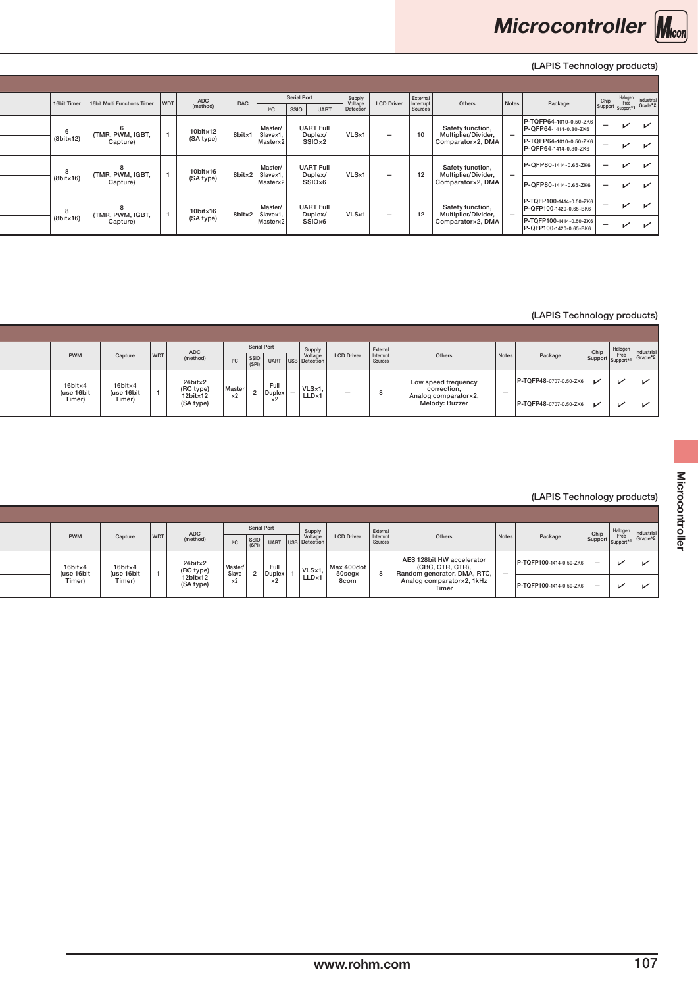

#### $16\text{LPHS}$  Technology products)

|           | 16bit Timer   16bit Multi Functions Timer | ADC<br>(method)       | DAC    | $ ^{2}C$                 | Serial Port<br>$ $ ssio $ $<br><b>UART</b> | Supply<br>Voltage<br>Detection | <b>LCD Driver</b> | External<br>Interrupt<br>Sources | Others                                  | Notes | Package                                           | Chip<br>Support          | Halogen<br>Free Industrial<br>unnort*1 Grade*2 |              |
|-----------|-------------------------------------------|-----------------------|--------|--------------------------|--------------------------------------------|--------------------------------|-------------------|----------------------------------|-----------------------------------------|-------|---------------------------------------------------|--------------------------|------------------------------------------------|--------------|
|           | (TMR, PWM, IGBT,                          | 10bit×12<br>(SA type) | 8bitx1 | Master<br>Slavex1        | <b>UART Full</b><br>Duplex/                | VLS×1                          | $-$               | 10                               | Safety function,<br>Multiplier/Divider, |       | P-TQFP64-1010-0.50-ZK6<br>P-QFP64-1414-0.80-ZK6   | $\overline{\phantom{0}}$ |                                                | $\sqrt{ }$   |
| (8bit×12) | Capture)                                  |                       |        | Masterx:                 | SSIO <sub>x2</sub>                         |                                |                   |                                  | Comparator×2, DMA                       |       | P-TQFP64-1010-0.50-ZK6<br>P-QFP64-1414-0.80-ZK6   | $\overline{\phantom{0}}$ | ✓                                              | $\sqrt{ }$   |
|           | (TMR, PWM, IGBT,                          | 10bit×16<br>(SA type) |        | Master<br>8bitx2 Slavex1 | <b>UART Full</b><br>Duplex/                | VLS×1                          | $-$               | 12                               | Safety function,<br>Multiplier/Divider, |       | P-QFP80-1414-0.65-ZK6                             | $-$                      | ↙                                              | $\sqrt{ }$   |
| (8bit×16) | Capture)                                  |                       |        | Master×2                 | SSIO <sub>x6</sub>                         |                                |                   |                                  | Comparator×2, DMA                       |       | P-QFP80-1414-0.65-ZK6                             | $-$                      | ↙                                              | $\checkmark$ |
|           | (TMR, PWM, IGBT,                          | 10bit×16<br>(SA type) | 8bitx2 | Master<br>Slavex1        | <b>UART Full</b><br>Duplex/                | VLS×1                          | $-$               | 12                               | Safety function,<br>Multiplier/Divider, |       | P-TQFP100-1414-0.50-ZK6<br>P-QFP100-1420-0.65-BK6 | $\sim$                   | $\sqrt{ }$                                     |              |
| 8bit×16   | Capture)                                  |                       |        | Masterx:                 | SSIO <sub>x6</sub>                         |                                |                   |                                  | Comparator×2, DMA                       |       | P-TQFP100-1414-0.50-ZK6<br>P-QFP100-1420-0.65-BK6 | $\overline{\phantom{0}}$ | ╭                                              | $\sqrt{ }$   |

#### $16\sqrt{16}$  (LAPIS Technology products)

|  | PWM                   | Capture               | <b>WDT</b> | <b>ADC</b><br>(method)           | $ ^{2}C $ $ ^{55}C $ | Serial Port<br><b>UART</b>           | Supply<br>Voltage | <b>LCD Driver</b> | Exter | Others                                 | Notes | Package                | Chip<br>Support | Free                     | Grade* |
|--|-----------------------|-----------------------|------------|----------------------------------|----------------------|--------------------------------------|-------------------|-------------------|-------|----------------------------------------|-------|------------------------|-----------------|--------------------------|--------|
|  | 16bit×4<br>(use 16bit | 16bit×4<br>(use 16bit |            | 24bit×2<br>(RC type)<br>12bit×12 | Master               | 17.10<br>rull<br>Duplex <sub>1</sub> | $ VLS \times 1$ , |                   |       | Low speed frequency<br>correction,     | --    | P-TQFP48-0707-0.50-ZK6 |                 | ↙                        |        |
|  | Timer)                | Timer)                |            | (SA type)                        | $\times 2$           | ᅐ                                    | LLD×1             |                   |       | Analog comparator×2,<br>Melody: Buzzer |       | P-TQFP48-0707-0.50-ZK6 |                 | $\overline{\phantom{a}}$ |        |

#### $($ LAPIS Technology products)

| ADC<br>(methor                   | <b>WDT</b> |  |  | $ ^{2}C $ SSIO  | Serial Port<br>UART | Supp<br>  Voltage<br>USB Detectio | <b>LCD Driver</b>               | Source: | Others                                                                       | Notes | Package                 | Chip | tunnort | Ern. | Grade <sup>*2</sup> |
|----------------------------------|------------|--|--|-----------------|---------------------|-----------------------------------|---------------------------------|---------|------------------------------------------------------------------------------|-------|-------------------------|------|---------|------|---------------------|
| 24bit×2<br>(RC type)<br>12bit×12 |            |  |  | Master<br>Slave | Full<br>Duplex      | $\mathbf{M}$<br>VLS×1,            | Max 400dot<br>$50$ sea $\times$ |         | AES 128bit HW accelerator<br>(CBC, CTR, CTR),<br>Random generator, DMA, RTC, | $-$   | P-TQFP100-1414-0.50-ZK6 |      |         |      |                     |
| (SA type)                        |            |  |  |                 |                     | LLD×1                             | 8com                            |         | Analog comparator×2, 1kHz<br>Timer                                           |       | P-TQFP100-1414-0.50-ZK6 |      |         |      |                     |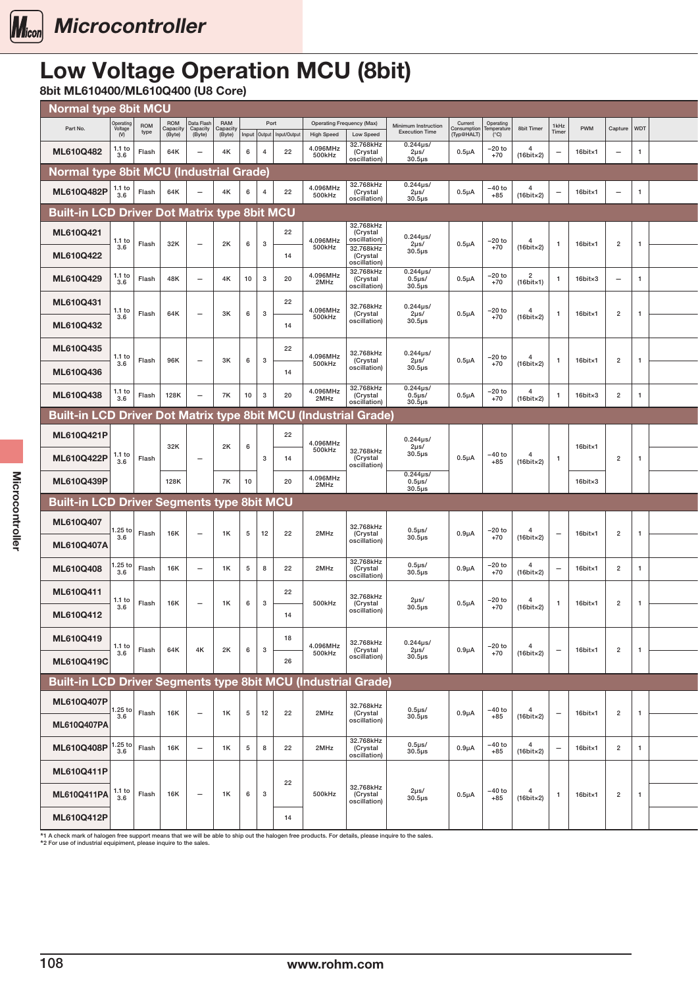## <span id="page-8-0"></span>Low Voltage Operation MCU (8bit)

8bit ML610400/ML610Q400 (U8 Core) (LAPIS Technology products) and the control of the control of the core of the core

| ROM Data Flash RAM<br>Capacity Capacity Capacity<br>(Byte) (Byte) (Byte)<br>Port<br><b>Operating Frequency (Max)</b><br>Current Operating<br>Consumption Temperature 8bit Timer<br>(Typ@HALT) (°C)<br>Operating<br>Voltage<br>(V)<br>$_{\rm type}^{\rm ROM}$<br>$\frac{1}{kHz}$<br>Minimum Instruction<br>Part No.<br>PWM<br>Capture WDT<br><b>Execution Time</b><br>Input Output Input/Output<br><b>High Speed</b><br>Low Speed<br>32.768kHz<br>$0.244\mu s$<br>4.096MHz<br>$\begin{array}{ c} 1.1 \text{ to} \\ 3.6 \end{array}$<br>$-20$ to<br>+70<br>$\overline{4}$<br>ML610Q482<br>Flash<br>64K<br>4K<br>22<br>(Crystal<br>oscillation)<br>$2\mu s$<br>$0.5\mu A$<br>16bit×1<br>$\sim$<br>$\overline{1}$<br>$4 \vert$<br>6  <br>$\overline{\phantom{a}}$<br>$(16bit \times 2)$<br>500kHz<br>30.5 <sub>µ</sub> s<br>Normal type 8bit MCU (Industrial Grade)<br>32.768kHz<br>$0.244 \mu s$<br>4.096MHz<br><b>ML610Q482P</b> $\begin{array}{ c c c c } \hline 1.1 \text{ to} & \text{Flash} & 64K \\\hline \end{array}$<br>$-40$ to<br>+85<br>$\overline{4}$<br>4K<br>22<br>$\sim$<br>$6 \mid 4 \mid$<br>$0.5\mu A$<br>(Crystal<br>$2\mu s/$<br>16bit×1<br>$\sim$<br>$\vert$ 1<br>$\overline{\phantom{a}}$<br>$(16bit \times 2)$<br>500kHz<br>oscillation)<br>$30.5\mu s$<br><b>Built-in LCD Driver Dot Matrix type 8bit MCU</b><br>32.768kHz<br>ML610Q421<br>$22\,$<br>(Crystal<br>oscillation)<br>$0.244\mu\text{s}/\ \frac{2\mu\text{s}}{30.5\mu\text{s}}$<br>$\left \begin{array}{cc} 1.1 \text{ to} \\ 3.6 \end{array}\right $ Flash $\left \begin{array}{cc} 32K \end{array}\right $<br>4.096MHz<br>$-20$ to<br>+70<br>$\overline{4}$<br>2K<br>$0.5\mu A$<br>$\overline{2}$<br>16bit×1<br>$6 \mid 3$<br>$-$<br>500kHz<br>$(16bit \times 2)$<br>32.768kHz<br>ML610Q422<br>14<br>(Crystal<br>oscillation)<br>32.768kHz<br>$0.244\mu s$<br>4.096MHz<br>$-20$ to<br>$\overline{\mathbf{2}}$<br>$\begin{array}{ c} 1.1 \text{ to} \\ 3.6 \end{array}$<br>ML610Q429<br>Flash<br>48K<br>4K<br>0.5 <sub>µ</sub> s/<br>$\vert 10 \vert 3 \vert$<br>20<br>(Crystal<br>oscillation)<br>$16$ bit $\times 3$<br>$\equiv$<br>$\overline{1}$<br>$0.5\mu A$<br>$\overline{\phantom{a}}$<br>2MHz<br>$+70$<br>$(16bit \times 1)$<br>$30.\overline{5}$ µs<br>ML610Q431<br>22<br>32.768kHz<br>$0.244\mu s$<br>4.096MHz<br>$\begin{array}{ c c c } 1.1 \text{ to} & \text{Flash} \end{array}$<br>$-20$ to<br>$\overline{4}$<br>64K<br>3K<br>$2\mu s$<br>(Crystal<br>oscillation)<br>$0.5\mu A$<br>16bit×1<br>$\overline{2}$<br>6 3<br>$-$<br>$+70$<br>$(16bit \times 2)$<br>500kHz<br>$30.5 \mu s$<br>ML610Q432<br>14<br>ML610Q435<br>22<br>32.768kHz<br>$0.244\mu s/$<br>4.096MHz<br>$\frac{1.1 \text{ to}}{3.6}$<br>$-20$ to<br>+70<br>$\overline{4}$<br>96K<br>3K<br>Flash<br>$0.5\mu A$<br>$\overline{2}$<br>$2\mu s/$<br>30.5 $\mu s$<br>16bit×1<br>$6 \mid 3$<br>(Crystal<br>$-$<br>$(16bit \times 2)$<br>500kHz<br>oscillation)<br>ML610Q436<br>14<br>32.768kHz<br>$0.244\mu s$<br>4.096MHz<br>$-20$ to<br>$\begin{vmatrix} 1.1 & \text{to} \\ 3.6 \end{vmatrix}$<br>$\overline{4}$<br>ML610Q438<br>Flash<br>128K<br><b>7K</b><br>$0.5\mu A$<br>$\overline{2}$<br>20<br>(Crystal<br>oscillation)<br>$0.5\mus$<br>$16$ bit $\times 3$<br>$\overline{1}$<br>$-$<br>$+70$<br>$(16bit \times 2)$<br>2MHz<br>$30.\overline{5}$ µs<br>Built-in LCD Driver Dot Matrix type 8bit MCU (Industrial Grade)<br>ML610Q421P<br>22<br>$0.244 \mu s /$<br>2 $\mu s /$<br>4.096MHz<br>32K<br>$2\mathsf{K}$<br>16bit×1<br>6<br>500kHz<br>32.768kHz<br>$30.5\mu s$<br>$-40$ to<br>+85<br><b>ML610Q422P</b> $\begin{array}{ c c c } \hline 1.1 \text{ to} & \text{Flash} \end{array}$<br>$\overline{4}$<br>(Crystal<br>oscillation)<br>$0.5\mu A$<br>$\overline{2}$<br>3 <sup>1</sup><br>14<br>$\overline{\phantom{a}}$<br>$\blacksquare$<br>$(16bit \times 2)$<br>$0.244\mu s$<br>0.5 $\mu s$<br>30.5 $\mu s$<br>4.096MHz<br>ML610Q439P<br>128K<br>7K<br>20<br>$16$ bit $\times 3$<br>10<br>2MHz<br><b>Built-in LCD Driver Segments type 8bit MCU</b><br>ML610Q407<br>32.768kHz<br>$1.25$ to Flash  <br>$0.5\mus$<br>$^{-20\,\mathrm{to}}_{+70}$<br>$\overline{4}$<br><b>16K</b><br>$1K$ 5 12<br>$0.9\mu A$<br>22<br>2MHz<br>(Crystal<br>16bit×1<br>$\overline{2}$<br>$\sim$<br>$\overline{\phantom{m}}$<br>3.6<br>$30.\overline{5}$ µs<br>$(16bit \times 2)$<br>oscillation)<br>ML610Q407A<br>32.768kHz<br>$0.5\mus$<br>$-20$ to<br>$\begin{array}{ c c } 1.25 \text{ to } 3.6 \end{array}$ Flash<br>$\overline{4}$<br>ML610Q408<br><b>16K</b><br>1K<br>22<br>2MHz<br>(Crystal<br>$0.9\mu A$<br>16bit×1<br>$\overline{2}$<br>5 <sup>1</sup><br>8<br>$\overline{\phantom{a}}$<br>$+70$<br>$(16bit \times 2)$<br>$30.5\mu s$<br>oscillation)<br>ML610Q411<br>22<br>32.768kHz<br>$1.1$ to<br>$2\mu s/$<br>$-20$ to<br>$\overline{4}$<br>Flash<br>$1K$ 6 3<br>16K<br>500kHz<br>$0.5\mu A$<br>16bit×1<br>$\overline{2}$<br>(Crystal<br>$-$<br>$\mathbf{1}$<br>$+70$<br>3.6<br>$30.5\mu s$<br>$(16bit \times 2)$<br>oscillation)<br>ML610Q412<br>14<br>ML610Q419<br>18<br>32.768kHz<br>$0.244\mu s$<br>$\int$ 1.1 to $\Big $ Flash $\Big $<br>4.096MHz<br>$-20$ to<br>+70<br>$\overline{4}$<br>2K<br>$2\mu s$ /<br>30.5 $\mu s$<br>64K<br>4K<br>(Crystal<br>oscillation)<br>$0.9\mu A$<br>$\overline{2}$<br>16bit×1<br>6 3<br>$\overline{\phantom{m}}$<br>3.6<br>$(16bit \times 2)$<br>500kHz<br>ML610Q419C<br>26<br>Built-in LCD Driver Segments type 8bit MCU (Industrial Grade)<br>ML610Q407P<br>32.768kHz<br>$\begin{array}{ c c c }\n\hline\n1.25 to & \text{Flash}\n\end{array}$<br>$0.5\mus$<br>$-40$ to<br>+85<br>$\overline{4}$<br><b>16K</b><br>(Crystal<br>oscillation)<br>$1K$ 5 12<br>22<br>2MHz<br>$\overline{2}$<br>$0.9\mu A$<br>16bit×1<br>$-$<br>$\overline{\phantom{m}}$<br>$30.5\mu s$<br>$(16bit \times 2)$<br>ML610Q407PA<br>32.768kHz<br>$-40$ to<br>+85<br><b>ML610Q408P</b> $\begin{array}{ c c } \hline 1.25 \text{ to} & \text{Flash} \end{array}$<br>$0.5\mus$<br>$\overline{4}$<br><b>16K</b><br>1K<br>(Crystal<br>oscillation)<br>$\overline{2}$<br>22<br>2MHz<br>$0.9\mu A$<br>16bit×1<br>$\overline{\phantom{a}}$<br>$5 \mid 8 \mid$<br>$\overline{1}$<br>$30.5\mu s$<br>$(16bit \times 2)$<br>ML610Q411P<br>22<br>32.768kHz<br>(Crystal<br>$2\mu s/$<br>$-40$ to<br>+85<br><b>ML610Q411PA</b> $\begin{array}{ c c } 1.1 & \text{to} & \text{Flash} \end{array}$<br>$\overline{4}$<br>16K<br><b>1K</b><br>500kHz<br>$0.5\mu A$<br>$\overline{2}$<br>16bit×1<br>$-$<br>6 3<br>$\mathbf{1}$<br>$30.5\mu s$<br>$(16bit \times 2)$<br>oscillation)<br>ML610Q412P<br>14 | Normal type 8bit MCU |  |  |  |  |  |  |  |  |  |  |
|----------------------------------------------------------------------------------------------------------------------------------------------------------------------------------------------------------------------------------------------------------------------------------------------------------------------------------------------------------------------------------------------------------------------------------------------------------------------------------------------------------------------------------------------------------------------------------------------------------------------------------------------------------------------------------------------------------------------------------------------------------------------------------------------------------------------------------------------------------------------------------------------------------------------------------------------------------------------------------------------------------------------------------------------------------------------------------------------------------------------------------------------------------------------------------------------------------------------------------------------------------------------------------------------------------------------------------------------------------------------------------------------------------------------------------------------------------------------------------------------------------------------------------------------------------------------------------------------------------------------------------------------------------------------------------------------------------------------------------------------------------------------------------------------------------------------------------------------------------------------------------------------------------------------------------------------------------------------------------------------------------------------------------------------------------------------------------------------------------------------------------------------------------------------------------------------------------------------------------------------------------------------------------------------------------------------------------------------------------------------------------------------------------------------------------------------------------------------------------------------------------------------------------------------------------------------------------------------------------------------------------------------------------------------------------------------------------------------------------------------------------------------------------------------------------------------------------------------------------------------------------------------------------------------------------------------------------------------------------------------------------------------------------------------------------------------------------------------------------------------------------------------------------------------------------------------------------------------------------------------------------------------------------------------------------------------------------------------------------------------------------------------------------------------------------------------------------------------------------------------------------------------------------------------------------------------------------------------------------------------------------------------------------------------------------------------------------------------------------------------------------------------------------------------------------------------------------------------------------------------------------------------------------------------------------------------------------------------------------------------------------------------------------------------------------------------------------------------------------------------------------------------------------------------------------------------------------------------------------------------------------------------------------------------------------------------------------------------------------------------------------------------------------------------------------------------------------------------------------------------------------------------------------------------------------------------------------------------------------------------------------------------------------------------------------------------------------------------------------------------------------------------------------------------------------------------------------------------------------------------------------------------------------------------------------------------------------------------------------------------------------------------------------------------------------------------------------------------------------------------------------------------------------------------------------------------------------------------------------------------------------------------------------------------------------------------------------------------------------------------------------------------------------------------------------------------------------------------------------------------------------------------------------------------------------------------------------------------------------------------------------------------------------------------------------------------------------------------------------------------------------------------------------------------------------------------------------------------------------------------------------------------------------------------------------------------------------------------------------------------------------------------------------------------------------------------------------------------------------------------------------------------------------------------------------------------------------------------------------------------------------------------------------------------------------------------------------------------------------------------------------------------------------------------------------------------------------------------------------------------------------------------------------------------------------------------|----------------------|--|--|--|--|--|--|--|--|--|--|
|                                                                                                                                                                                                                                                                                                                                                                                                                                                                                                                                                                                                                                                                                                                                                                                                                                                                                                                                                                                                                                                                                                                                                                                                                                                                                                                                                                                                                                                                                                                                                                                                                                                                                                                                                                                                                                                                                                                                                                                                                                                                                                                                                                                                                                                                                                                                                                                                                                                                                                                                                                                                                                                                                                                                                                                                                                                                                                                                                                                                                                                                                                                                                                                                                                                                                                                                                                                                                                                                                                                                                                                                                                                                                                                                                                                                                                                                                                                                                                                                                                                                                                                                                                                                                                                                                                                                                                                                                                                                                                                                                                                                                                                                                                                                                                                                                                                                                                                                                                                                                                                                                                                                                                                                                                                                                                                                                                                                                                                                                                                                                                                                                                                                                                                                                                                                                                                                                                                                                                                                                                                                                                                                                                                                                                                                                                                                                                                                                                                                                                                                                                      |                      |  |  |  |  |  |  |  |  |  |  |
|                                                                                                                                                                                                                                                                                                                                                                                                                                                                                                                                                                                                                                                                                                                                                                                                                                                                                                                                                                                                                                                                                                                                                                                                                                                                                                                                                                                                                                                                                                                                                                                                                                                                                                                                                                                                                                                                                                                                                                                                                                                                                                                                                                                                                                                                                                                                                                                                                                                                                                                                                                                                                                                                                                                                                                                                                                                                                                                                                                                                                                                                                                                                                                                                                                                                                                                                                                                                                                                                                                                                                                                                                                                                                                                                                                                                                                                                                                                                                                                                                                                                                                                                                                                                                                                                                                                                                                                                                                                                                                                                                                                                                                                                                                                                                                                                                                                                                                                                                                                                                                                                                                                                                                                                                                                                                                                                                                                                                                                                                                                                                                                                                                                                                                                                                                                                                                                                                                                                                                                                                                                                                                                                                                                                                                                                                                                                                                                                                                                                                                                                                                      |                      |  |  |  |  |  |  |  |  |  |  |
|                                                                                                                                                                                                                                                                                                                                                                                                                                                                                                                                                                                                                                                                                                                                                                                                                                                                                                                                                                                                                                                                                                                                                                                                                                                                                                                                                                                                                                                                                                                                                                                                                                                                                                                                                                                                                                                                                                                                                                                                                                                                                                                                                                                                                                                                                                                                                                                                                                                                                                                                                                                                                                                                                                                                                                                                                                                                                                                                                                                                                                                                                                                                                                                                                                                                                                                                                                                                                                                                                                                                                                                                                                                                                                                                                                                                                                                                                                                                                                                                                                                                                                                                                                                                                                                                                                                                                                                                                                                                                                                                                                                                                                                                                                                                                                                                                                                                                                                                                                                                                                                                                                                                                                                                                                                                                                                                                                                                                                                                                                                                                                                                                                                                                                                                                                                                                                                                                                                                                                                                                                                                                                                                                                                                                                                                                                                                                                                                                                                                                                                                                                      |                      |  |  |  |  |  |  |  |  |  |  |
|                                                                                                                                                                                                                                                                                                                                                                                                                                                                                                                                                                                                                                                                                                                                                                                                                                                                                                                                                                                                                                                                                                                                                                                                                                                                                                                                                                                                                                                                                                                                                                                                                                                                                                                                                                                                                                                                                                                                                                                                                                                                                                                                                                                                                                                                                                                                                                                                                                                                                                                                                                                                                                                                                                                                                                                                                                                                                                                                                                                                                                                                                                                                                                                                                                                                                                                                                                                                                                                                                                                                                                                                                                                                                                                                                                                                                                                                                                                                                                                                                                                                                                                                                                                                                                                                                                                                                                                                                                                                                                                                                                                                                                                                                                                                                                                                                                                                                                                                                                                                                                                                                                                                                                                                                                                                                                                                                                                                                                                                                                                                                                                                                                                                                                                                                                                                                                                                                                                                                                                                                                                                                                                                                                                                                                                                                                                                                                                                                                                                                                                                                                      |                      |  |  |  |  |  |  |  |  |  |  |
|                                                                                                                                                                                                                                                                                                                                                                                                                                                                                                                                                                                                                                                                                                                                                                                                                                                                                                                                                                                                                                                                                                                                                                                                                                                                                                                                                                                                                                                                                                                                                                                                                                                                                                                                                                                                                                                                                                                                                                                                                                                                                                                                                                                                                                                                                                                                                                                                                                                                                                                                                                                                                                                                                                                                                                                                                                                                                                                                                                                                                                                                                                                                                                                                                                                                                                                                                                                                                                                                                                                                                                                                                                                                                                                                                                                                                                                                                                                                                                                                                                                                                                                                                                                                                                                                                                                                                                                                                                                                                                                                                                                                                                                                                                                                                                                                                                                                                                                                                                                                                                                                                                                                                                                                                                                                                                                                                                                                                                                                                                                                                                                                                                                                                                                                                                                                                                                                                                                                                                                                                                                                                                                                                                                                                                                                                                                                                                                                                                                                                                                                                                      |                      |  |  |  |  |  |  |  |  |  |  |
|                                                                                                                                                                                                                                                                                                                                                                                                                                                                                                                                                                                                                                                                                                                                                                                                                                                                                                                                                                                                                                                                                                                                                                                                                                                                                                                                                                                                                                                                                                                                                                                                                                                                                                                                                                                                                                                                                                                                                                                                                                                                                                                                                                                                                                                                                                                                                                                                                                                                                                                                                                                                                                                                                                                                                                                                                                                                                                                                                                                                                                                                                                                                                                                                                                                                                                                                                                                                                                                                                                                                                                                                                                                                                                                                                                                                                                                                                                                                                                                                                                                                                                                                                                                                                                                                                                                                                                                                                                                                                                                                                                                                                                                                                                                                                                                                                                                                                                                                                                                                                                                                                                                                                                                                                                                                                                                                                                                                                                                                                                                                                                                                                                                                                                                                                                                                                                                                                                                                                                                                                                                                                                                                                                                                                                                                                                                                                                                                                                                                                                                                                                      |                      |  |  |  |  |  |  |  |  |  |  |
|                                                                                                                                                                                                                                                                                                                                                                                                                                                                                                                                                                                                                                                                                                                                                                                                                                                                                                                                                                                                                                                                                                                                                                                                                                                                                                                                                                                                                                                                                                                                                                                                                                                                                                                                                                                                                                                                                                                                                                                                                                                                                                                                                                                                                                                                                                                                                                                                                                                                                                                                                                                                                                                                                                                                                                                                                                                                                                                                                                                                                                                                                                                                                                                                                                                                                                                                                                                                                                                                                                                                                                                                                                                                                                                                                                                                                                                                                                                                                                                                                                                                                                                                                                                                                                                                                                                                                                                                                                                                                                                                                                                                                                                                                                                                                                                                                                                                                                                                                                                                                                                                                                                                                                                                                                                                                                                                                                                                                                                                                                                                                                                                                                                                                                                                                                                                                                                                                                                                                                                                                                                                                                                                                                                                                                                                                                                                                                                                                                                                                                                                                                      |                      |  |  |  |  |  |  |  |  |  |  |
|                                                                                                                                                                                                                                                                                                                                                                                                                                                                                                                                                                                                                                                                                                                                                                                                                                                                                                                                                                                                                                                                                                                                                                                                                                                                                                                                                                                                                                                                                                                                                                                                                                                                                                                                                                                                                                                                                                                                                                                                                                                                                                                                                                                                                                                                                                                                                                                                                                                                                                                                                                                                                                                                                                                                                                                                                                                                                                                                                                                                                                                                                                                                                                                                                                                                                                                                                                                                                                                                                                                                                                                                                                                                                                                                                                                                                                                                                                                                                                                                                                                                                                                                                                                                                                                                                                                                                                                                                                                                                                                                                                                                                                                                                                                                                                                                                                                                                                                                                                                                                                                                                                                                                                                                                                                                                                                                                                                                                                                                                                                                                                                                                                                                                                                                                                                                                                                                                                                                                                                                                                                                                                                                                                                                                                                                                                                                                                                                                                                                                                                                                                      |                      |  |  |  |  |  |  |  |  |  |  |
|                                                                                                                                                                                                                                                                                                                                                                                                                                                                                                                                                                                                                                                                                                                                                                                                                                                                                                                                                                                                                                                                                                                                                                                                                                                                                                                                                                                                                                                                                                                                                                                                                                                                                                                                                                                                                                                                                                                                                                                                                                                                                                                                                                                                                                                                                                                                                                                                                                                                                                                                                                                                                                                                                                                                                                                                                                                                                                                                                                                                                                                                                                                                                                                                                                                                                                                                                                                                                                                                                                                                                                                                                                                                                                                                                                                                                                                                                                                                                                                                                                                                                                                                                                                                                                                                                                                                                                                                                                                                                                                                                                                                                                                                                                                                                                                                                                                                                                                                                                                                                                                                                                                                                                                                                                                                                                                                                                                                                                                                                                                                                                                                                                                                                                                                                                                                                                                                                                                                                                                                                                                                                                                                                                                                                                                                                                                                                                                                                                                                                                                                                                      |                      |  |  |  |  |  |  |  |  |  |  |
|                                                                                                                                                                                                                                                                                                                                                                                                                                                                                                                                                                                                                                                                                                                                                                                                                                                                                                                                                                                                                                                                                                                                                                                                                                                                                                                                                                                                                                                                                                                                                                                                                                                                                                                                                                                                                                                                                                                                                                                                                                                                                                                                                                                                                                                                                                                                                                                                                                                                                                                                                                                                                                                                                                                                                                                                                                                                                                                                                                                                                                                                                                                                                                                                                                                                                                                                                                                                                                                                                                                                                                                                                                                                                                                                                                                                                                                                                                                                                                                                                                                                                                                                                                                                                                                                                                                                                                                                                                                                                                                                                                                                                                                                                                                                                                                                                                                                                                                                                                                                                                                                                                                                                                                                                                                                                                                                                                                                                                                                                                                                                                                                                                                                                                                                                                                                                                                                                                                                                                                                                                                                                                                                                                                                                                                                                                                                                                                                                                                                                                                                                                      |                      |  |  |  |  |  |  |  |  |  |  |
|                                                                                                                                                                                                                                                                                                                                                                                                                                                                                                                                                                                                                                                                                                                                                                                                                                                                                                                                                                                                                                                                                                                                                                                                                                                                                                                                                                                                                                                                                                                                                                                                                                                                                                                                                                                                                                                                                                                                                                                                                                                                                                                                                                                                                                                                                                                                                                                                                                                                                                                                                                                                                                                                                                                                                                                                                                                                                                                                                                                                                                                                                                                                                                                                                                                                                                                                                                                                                                                                                                                                                                                                                                                                                                                                                                                                                                                                                                                                                                                                                                                                                                                                                                                                                                                                                                                                                                                                                                                                                                                                                                                                                                                                                                                                                                                                                                                                                                                                                                                                                                                                                                                                                                                                                                                                                                                                                                                                                                                                                                                                                                                                                                                                                                                                                                                                                                                                                                                                                                                                                                                                                                                                                                                                                                                                                                                                                                                                                                                                                                                                                                      |                      |  |  |  |  |  |  |  |  |  |  |
|                                                                                                                                                                                                                                                                                                                                                                                                                                                                                                                                                                                                                                                                                                                                                                                                                                                                                                                                                                                                                                                                                                                                                                                                                                                                                                                                                                                                                                                                                                                                                                                                                                                                                                                                                                                                                                                                                                                                                                                                                                                                                                                                                                                                                                                                                                                                                                                                                                                                                                                                                                                                                                                                                                                                                                                                                                                                                                                                                                                                                                                                                                                                                                                                                                                                                                                                                                                                                                                                                                                                                                                                                                                                                                                                                                                                                                                                                                                                                                                                                                                                                                                                                                                                                                                                                                                                                                                                                                                                                                                                                                                                                                                                                                                                                                                                                                                                                                                                                                                                                                                                                                                                                                                                                                                                                                                                                                                                                                                                                                                                                                                                                                                                                                                                                                                                                                                                                                                                                                                                                                                                                                                                                                                                                                                                                                                                                                                                                                                                                                                                                                      |                      |  |  |  |  |  |  |  |  |  |  |
|                                                                                                                                                                                                                                                                                                                                                                                                                                                                                                                                                                                                                                                                                                                                                                                                                                                                                                                                                                                                                                                                                                                                                                                                                                                                                                                                                                                                                                                                                                                                                                                                                                                                                                                                                                                                                                                                                                                                                                                                                                                                                                                                                                                                                                                                                                                                                                                                                                                                                                                                                                                                                                                                                                                                                                                                                                                                                                                                                                                                                                                                                                                                                                                                                                                                                                                                                                                                                                                                                                                                                                                                                                                                                                                                                                                                                                                                                                                                                                                                                                                                                                                                                                                                                                                                                                                                                                                                                                                                                                                                                                                                                                                                                                                                                                                                                                                                                                                                                                                                                                                                                                                                                                                                                                                                                                                                                                                                                                                                                                                                                                                                                                                                                                                                                                                                                                                                                                                                                                                                                                                                                                                                                                                                                                                                                                                                                                                                                                                                                                                                                                      |                      |  |  |  |  |  |  |  |  |  |  |
|                                                                                                                                                                                                                                                                                                                                                                                                                                                                                                                                                                                                                                                                                                                                                                                                                                                                                                                                                                                                                                                                                                                                                                                                                                                                                                                                                                                                                                                                                                                                                                                                                                                                                                                                                                                                                                                                                                                                                                                                                                                                                                                                                                                                                                                                                                                                                                                                                                                                                                                                                                                                                                                                                                                                                                                                                                                                                                                                                                                                                                                                                                                                                                                                                                                                                                                                                                                                                                                                                                                                                                                                                                                                                                                                                                                                                                                                                                                                                                                                                                                                                                                                                                                                                                                                                                                                                                                                                                                                                                                                                                                                                                                                                                                                                                                                                                                                                                                                                                                                                                                                                                                                                                                                                                                                                                                                                                                                                                                                                                                                                                                                                                                                                                                                                                                                                                                                                                                                                                                                                                                                                                                                                                                                                                                                                                                                                                                                                                                                                                                                                                      |                      |  |  |  |  |  |  |  |  |  |  |
|                                                                                                                                                                                                                                                                                                                                                                                                                                                                                                                                                                                                                                                                                                                                                                                                                                                                                                                                                                                                                                                                                                                                                                                                                                                                                                                                                                                                                                                                                                                                                                                                                                                                                                                                                                                                                                                                                                                                                                                                                                                                                                                                                                                                                                                                                                                                                                                                                                                                                                                                                                                                                                                                                                                                                                                                                                                                                                                                                                                                                                                                                                                                                                                                                                                                                                                                                                                                                                                                                                                                                                                                                                                                                                                                                                                                                                                                                                                                                                                                                                                                                                                                                                                                                                                                                                                                                                                                                                                                                                                                                                                                                                                                                                                                                                                                                                                                                                                                                                                                                                                                                                                                                                                                                                                                                                                                                                                                                                                                                                                                                                                                                                                                                                                                                                                                                                                                                                                                                                                                                                                                                                                                                                                                                                                                                                                                                                                                                                                                                                                                                                      |                      |  |  |  |  |  |  |  |  |  |  |
|                                                                                                                                                                                                                                                                                                                                                                                                                                                                                                                                                                                                                                                                                                                                                                                                                                                                                                                                                                                                                                                                                                                                                                                                                                                                                                                                                                                                                                                                                                                                                                                                                                                                                                                                                                                                                                                                                                                                                                                                                                                                                                                                                                                                                                                                                                                                                                                                                                                                                                                                                                                                                                                                                                                                                                                                                                                                                                                                                                                                                                                                                                                                                                                                                                                                                                                                                                                                                                                                                                                                                                                                                                                                                                                                                                                                                                                                                                                                                                                                                                                                                                                                                                                                                                                                                                                                                                                                                                                                                                                                                                                                                                                                                                                                                                                                                                                                                                                                                                                                                                                                                                                                                                                                                                                                                                                                                                                                                                                                                                                                                                                                                                                                                                                                                                                                                                                                                                                                                                                                                                                                                                                                                                                                                                                                                                                                                                                                                                                                                                                                                                      |                      |  |  |  |  |  |  |  |  |  |  |
|                                                                                                                                                                                                                                                                                                                                                                                                                                                                                                                                                                                                                                                                                                                                                                                                                                                                                                                                                                                                                                                                                                                                                                                                                                                                                                                                                                                                                                                                                                                                                                                                                                                                                                                                                                                                                                                                                                                                                                                                                                                                                                                                                                                                                                                                                                                                                                                                                                                                                                                                                                                                                                                                                                                                                                                                                                                                                                                                                                                                                                                                                                                                                                                                                                                                                                                                                                                                                                                                                                                                                                                                                                                                                                                                                                                                                                                                                                                                                                                                                                                                                                                                                                                                                                                                                                                                                                                                                                                                                                                                                                                                                                                                                                                                                                                                                                                                                                                                                                                                                                                                                                                                                                                                                                                                                                                                                                                                                                                                                                                                                                                                                                                                                                                                                                                                                                                                                                                                                                                                                                                                                                                                                                                                                                                                                                                                                                                                                                                                                                                                                                      |                      |  |  |  |  |  |  |  |  |  |  |
|                                                                                                                                                                                                                                                                                                                                                                                                                                                                                                                                                                                                                                                                                                                                                                                                                                                                                                                                                                                                                                                                                                                                                                                                                                                                                                                                                                                                                                                                                                                                                                                                                                                                                                                                                                                                                                                                                                                                                                                                                                                                                                                                                                                                                                                                                                                                                                                                                                                                                                                                                                                                                                                                                                                                                                                                                                                                                                                                                                                                                                                                                                                                                                                                                                                                                                                                                                                                                                                                                                                                                                                                                                                                                                                                                                                                                                                                                                                                                                                                                                                                                                                                                                                                                                                                                                                                                                                                                                                                                                                                                                                                                                                                                                                                                                                                                                                                                                                                                                                                                                                                                                                                                                                                                                                                                                                                                                                                                                                                                                                                                                                                                                                                                                                                                                                                                                                                                                                                                                                                                                                                                                                                                                                                                                                                                                                                                                                                                                                                                                                                                                      |                      |  |  |  |  |  |  |  |  |  |  |
|                                                                                                                                                                                                                                                                                                                                                                                                                                                                                                                                                                                                                                                                                                                                                                                                                                                                                                                                                                                                                                                                                                                                                                                                                                                                                                                                                                                                                                                                                                                                                                                                                                                                                                                                                                                                                                                                                                                                                                                                                                                                                                                                                                                                                                                                                                                                                                                                                                                                                                                                                                                                                                                                                                                                                                                                                                                                                                                                                                                                                                                                                                                                                                                                                                                                                                                                                                                                                                                                                                                                                                                                                                                                                                                                                                                                                                                                                                                                                                                                                                                                                                                                                                                                                                                                                                                                                                                                                                                                                                                                                                                                                                                                                                                                                                                                                                                                                                                                                                                                                                                                                                                                                                                                                                                                                                                                                                                                                                                                                                                                                                                                                                                                                                                                                                                                                                                                                                                                                                                                                                                                                                                                                                                                                                                                                                                                                                                                                                                                                                                                                                      |                      |  |  |  |  |  |  |  |  |  |  |
|                                                                                                                                                                                                                                                                                                                                                                                                                                                                                                                                                                                                                                                                                                                                                                                                                                                                                                                                                                                                                                                                                                                                                                                                                                                                                                                                                                                                                                                                                                                                                                                                                                                                                                                                                                                                                                                                                                                                                                                                                                                                                                                                                                                                                                                                                                                                                                                                                                                                                                                                                                                                                                                                                                                                                                                                                                                                                                                                                                                                                                                                                                                                                                                                                                                                                                                                                                                                                                                                                                                                                                                                                                                                                                                                                                                                                                                                                                                                                                                                                                                                                                                                                                                                                                                                                                                                                                                                                                                                                                                                                                                                                                                                                                                                                                                                                                                                                                                                                                                                                                                                                                                                                                                                                                                                                                                                                                                                                                                                                                                                                                                                                                                                                                                                                                                                                                                                                                                                                                                                                                                                                                                                                                                                                                                                                                                                                                                                                                                                                                                                                                      |                      |  |  |  |  |  |  |  |  |  |  |
|                                                                                                                                                                                                                                                                                                                                                                                                                                                                                                                                                                                                                                                                                                                                                                                                                                                                                                                                                                                                                                                                                                                                                                                                                                                                                                                                                                                                                                                                                                                                                                                                                                                                                                                                                                                                                                                                                                                                                                                                                                                                                                                                                                                                                                                                                                                                                                                                                                                                                                                                                                                                                                                                                                                                                                                                                                                                                                                                                                                                                                                                                                                                                                                                                                                                                                                                                                                                                                                                                                                                                                                                                                                                                                                                                                                                                                                                                                                                                                                                                                                                                                                                                                                                                                                                                                                                                                                                                                                                                                                                                                                                                                                                                                                                                                                                                                                                                                                                                                                                                                                                                                                                                                                                                                                                                                                                                                                                                                                                                                                                                                                                                                                                                                                                                                                                                                                                                                                                                                                                                                                                                                                                                                                                                                                                                                                                                                                                                                                                                                                                                                      |                      |  |  |  |  |  |  |  |  |  |  |
|                                                                                                                                                                                                                                                                                                                                                                                                                                                                                                                                                                                                                                                                                                                                                                                                                                                                                                                                                                                                                                                                                                                                                                                                                                                                                                                                                                                                                                                                                                                                                                                                                                                                                                                                                                                                                                                                                                                                                                                                                                                                                                                                                                                                                                                                                                                                                                                                                                                                                                                                                                                                                                                                                                                                                                                                                                                                                                                                                                                                                                                                                                                                                                                                                                                                                                                                                                                                                                                                                                                                                                                                                                                                                                                                                                                                                                                                                                                                                                                                                                                                                                                                                                                                                                                                                                                                                                                                                                                                                                                                                                                                                                                                                                                                                                                                                                                                                                                                                                                                                                                                                                                                                                                                                                                                                                                                                                                                                                                                                                                                                                                                                                                                                                                                                                                                                                                                                                                                                                                                                                                                                                                                                                                                                                                                                                                                                                                                                                                                                                                                                                      |                      |  |  |  |  |  |  |  |  |  |  |
|                                                                                                                                                                                                                                                                                                                                                                                                                                                                                                                                                                                                                                                                                                                                                                                                                                                                                                                                                                                                                                                                                                                                                                                                                                                                                                                                                                                                                                                                                                                                                                                                                                                                                                                                                                                                                                                                                                                                                                                                                                                                                                                                                                                                                                                                                                                                                                                                                                                                                                                                                                                                                                                                                                                                                                                                                                                                                                                                                                                                                                                                                                                                                                                                                                                                                                                                                                                                                                                                                                                                                                                                                                                                                                                                                                                                                                                                                                                                                                                                                                                                                                                                                                                                                                                                                                                                                                                                                                                                                                                                                                                                                                                                                                                                                                                                                                                                                                                                                                                                                                                                                                                                                                                                                                                                                                                                                                                                                                                                                                                                                                                                                                                                                                                                                                                                                                                                                                                                                                                                                                                                                                                                                                                                                                                                                                                                                                                                                                                                                                                                                                      |                      |  |  |  |  |  |  |  |  |  |  |
|                                                                                                                                                                                                                                                                                                                                                                                                                                                                                                                                                                                                                                                                                                                                                                                                                                                                                                                                                                                                                                                                                                                                                                                                                                                                                                                                                                                                                                                                                                                                                                                                                                                                                                                                                                                                                                                                                                                                                                                                                                                                                                                                                                                                                                                                                                                                                                                                                                                                                                                                                                                                                                                                                                                                                                                                                                                                                                                                                                                                                                                                                                                                                                                                                                                                                                                                                                                                                                                                                                                                                                                                                                                                                                                                                                                                                                                                                                                                                                                                                                                                                                                                                                                                                                                                                                                                                                                                                                                                                                                                                                                                                                                                                                                                                                                                                                                                                                                                                                                                                                                                                                                                                                                                                                                                                                                                                                                                                                                                                                                                                                                                                                                                                                                                                                                                                                                                                                                                                                                                                                                                                                                                                                                                                                                                                                                                                                                                                                                                                                                                                                      |                      |  |  |  |  |  |  |  |  |  |  |
|                                                                                                                                                                                                                                                                                                                                                                                                                                                                                                                                                                                                                                                                                                                                                                                                                                                                                                                                                                                                                                                                                                                                                                                                                                                                                                                                                                                                                                                                                                                                                                                                                                                                                                                                                                                                                                                                                                                                                                                                                                                                                                                                                                                                                                                                                                                                                                                                                                                                                                                                                                                                                                                                                                                                                                                                                                                                                                                                                                                                                                                                                                                                                                                                                                                                                                                                                                                                                                                                                                                                                                                                                                                                                                                                                                                                                                                                                                                                                                                                                                                                                                                                                                                                                                                                                                                                                                                                                                                                                                                                                                                                                                                                                                                                                                                                                                                                                                                                                                                                                                                                                                                                                                                                                                                                                                                                                                                                                                                                                                                                                                                                                                                                                                                                                                                                                                                                                                                                                                                                                                                                                                                                                                                                                                                                                                                                                                                                                                                                                                                                                                      |                      |  |  |  |  |  |  |  |  |  |  |
|                                                                                                                                                                                                                                                                                                                                                                                                                                                                                                                                                                                                                                                                                                                                                                                                                                                                                                                                                                                                                                                                                                                                                                                                                                                                                                                                                                                                                                                                                                                                                                                                                                                                                                                                                                                                                                                                                                                                                                                                                                                                                                                                                                                                                                                                                                                                                                                                                                                                                                                                                                                                                                                                                                                                                                                                                                                                                                                                                                                                                                                                                                                                                                                                                                                                                                                                                                                                                                                                                                                                                                                                                                                                                                                                                                                                                                                                                                                                                                                                                                                                                                                                                                                                                                                                                                                                                                                                                                                                                                                                                                                                                                                                                                                                                                                                                                                                                                                                                                                                                                                                                                                                                                                                                                                                                                                                                                                                                                                                                                                                                                                                                                                                                                                                                                                                                                                                                                                                                                                                                                                                                                                                                                                                                                                                                                                                                                                                                                                                                                                                                                      |                      |  |  |  |  |  |  |  |  |  |  |
|                                                                                                                                                                                                                                                                                                                                                                                                                                                                                                                                                                                                                                                                                                                                                                                                                                                                                                                                                                                                                                                                                                                                                                                                                                                                                                                                                                                                                                                                                                                                                                                                                                                                                                                                                                                                                                                                                                                                                                                                                                                                                                                                                                                                                                                                                                                                                                                                                                                                                                                                                                                                                                                                                                                                                                                                                                                                                                                                                                                                                                                                                                                                                                                                                                                                                                                                                                                                                                                                                                                                                                                                                                                                                                                                                                                                                                                                                                                                                                                                                                                                                                                                                                                                                                                                                                                                                                                                                                                                                                                                                                                                                                                                                                                                                                                                                                                                                                                                                                                                                                                                                                                                                                                                                                                                                                                                                                                                                                                                                                                                                                                                                                                                                                                                                                                                                                                                                                                                                                                                                                                                                                                                                                                                                                                                                                                                                                                                                                                                                                                                                                      |                      |  |  |  |  |  |  |  |  |  |  |
|                                                                                                                                                                                                                                                                                                                                                                                                                                                                                                                                                                                                                                                                                                                                                                                                                                                                                                                                                                                                                                                                                                                                                                                                                                                                                                                                                                                                                                                                                                                                                                                                                                                                                                                                                                                                                                                                                                                                                                                                                                                                                                                                                                                                                                                                                                                                                                                                                                                                                                                                                                                                                                                                                                                                                                                                                                                                                                                                                                                                                                                                                                                                                                                                                                                                                                                                                                                                                                                                                                                                                                                                                                                                                                                                                                                                                                                                                                                                                                                                                                                                                                                                                                                                                                                                                                                                                                                                                                                                                                                                                                                                                                                                                                                                                                                                                                                                                                                                                                                                                                                                                                                                                                                                                                                                                                                                                                                                                                                                                                                                                                                                                                                                                                                                                                                                                                                                                                                                                                                                                                                                                                                                                                                                                                                                                                                                                                                                                                                                                                                                                                      |                      |  |  |  |  |  |  |  |  |  |  |
|                                                                                                                                                                                                                                                                                                                                                                                                                                                                                                                                                                                                                                                                                                                                                                                                                                                                                                                                                                                                                                                                                                                                                                                                                                                                                                                                                                                                                                                                                                                                                                                                                                                                                                                                                                                                                                                                                                                                                                                                                                                                                                                                                                                                                                                                                                                                                                                                                                                                                                                                                                                                                                                                                                                                                                                                                                                                                                                                                                                                                                                                                                                                                                                                                                                                                                                                                                                                                                                                                                                                                                                                                                                                                                                                                                                                                                                                                                                                                                                                                                                                                                                                                                                                                                                                                                                                                                                                                                                                                                                                                                                                                                                                                                                                                                                                                                                                                                                                                                                                                                                                                                                                                                                                                                                                                                                                                                                                                                                                                                                                                                                                                                                                                                                                                                                                                                                                                                                                                                                                                                                                                                                                                                                                                                                                                                                                                                                                                                                                                                                                                                      |                      |  |  |  |  |  |  |  |  |  |  |
|                                                                                                                                                                                                                                                                                                                                                                                                                                                                                                                                                                                                                                                                                                                                                                                                                                                                                                                                                                                                                                                                                                                                                                                                                                                                                                                                                                                                                                                                                                                                                                                                                                                                                                                                                                                                                                                                                                                                                                                                                                                                                                                                                                                                                                                                                                                                                                                                                                                                                                                                                                                                                                                                                                                                                                                                                                                                                                                                                                                                                                                                                                                                                                                                                                                                                                                                                                                                                                                                                                                                                                                                                                                                                                                                                                                                                                                                                                                                                                                                                                                                                                                                                                                                                                                                                                                                                                                                                                                                                                                                                                                                                                                                                                                                                                                                                                                                                                                                                                                                                                                                                                                                                                                                                                                                                                                                                                                                                                                                                                                                                                                                                                                                                                                                                                                                                                                                                                                                                                                                                                                                                                                                                                                                                                                                                                                                                                                                                                                                                                                                                                      |                      |  |  |  |  |  |  |  |  |  |  |
|                                                                                                                                                                                                                                                                                                                                                                                                                                                                                                                                                                                                                                                                                                                                                                                                                                                                                                                                                                                                                                                                                                                                                                                                                                                                                                                                                                                                                                                                                                                                                                                                                                                                                                                                                                                                                                                                                                                                                                                                                                                                                                                                                                                                                                                                                                                                                                                                                                                                                                                                                                                                                                                                                                                                                                                                                                                                                                                                                                                                                                                                                                                                                                                                                                                                                                                                                                                                                                                                                                                                                                                                                                                                                                                                                                                                                                                                                                                                                                                                                                                                                                                                                                                                                                                                                                                                                                                                                                                                                                                                                                                                                                                                                                                                                                                                                                                                                                                                                                                                                                                                                                                                                                                                                                                                                                                                                                                                                                                                                                                                                                                                                                                                                                                                                                                                                                                                                                                                                                                                                                                                                                                                                                                                                                                                                                                                                                                                                                                                                                                                                                      |                      |  |  |  |  |  |  |  |  |  |  |
|                                                                                                                                                                                                                                                                                                                                                                                                                                                                                                                                                                                                                                                                                                                                                                                                                                                                                                                                                                                                                                                                                                                                                                                                                                                                                                                                                                                                                                                                                                                                                                                                                                                                                                                                                                                                                                                                                                                                                                                                                                                                                                                                                                                                                                                                                                                                                                                                                                                                                                                                                                                                                                                                                                                                                                                                                                                                                                                                                                                                                                                                                                                                                                                                                                                                                                                                                                                                                                                                                                                                                                                                                                                                                                                                                                                                                                                                                                                                                                                                                                                                                                                                                                                                                                                                                                                                                                                                                                                                                                                                                                                                                                                                                                                                                                                                                                                                                                                                                                                                                                                                                                                                                                                                                                                                                                                                                                                                                                                                                                                                                                                                                                                                                                                                                                                                                                                                                                                                                                                                                                                                                                                                                                                                                                                                                                                                                                                                                                                                                                                                                                      |                      |  |  |  |  |  |  |  |  |  |  |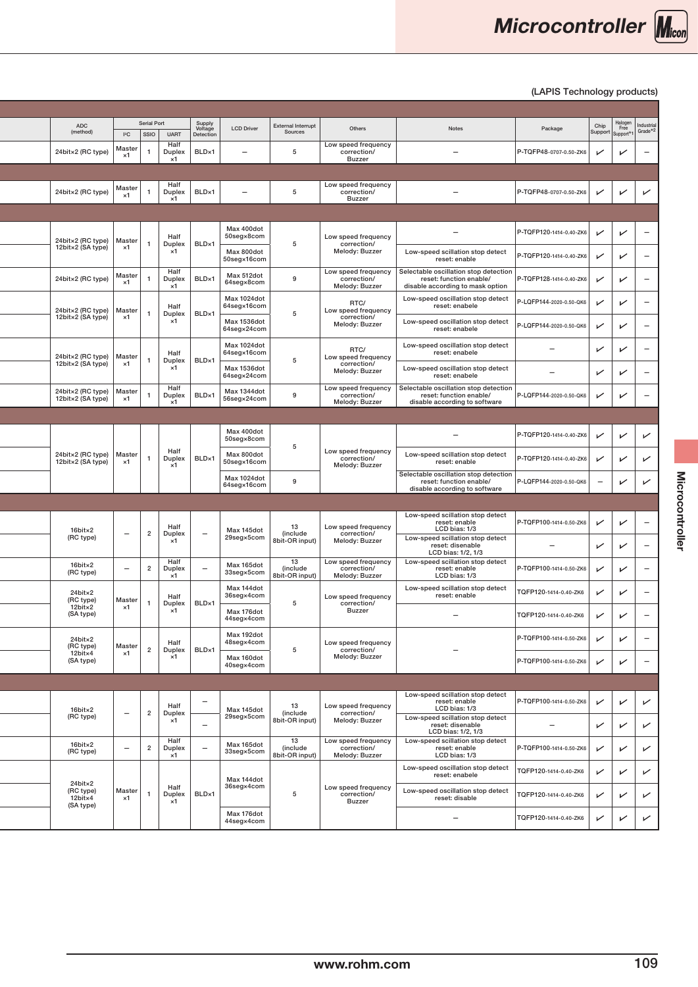#### $(LAPIS$  Technology products)

| Serial Port<br>$ ^{2}C$<br>SSIO<br><b>UART</b>                                         | Supply<br>Voltage<br>Detectio   | <b>LCD Driver</b>                         | <b>External Interrupt</b><br>Sources | Others                                               | Notes                                                                                             | Package                                             | Chip<br>Support Support*1 Grade*2 | Halogen<br>Free<br>Industrial                   |
|----------------------------------------------------------------------------------------|---------------------------------|-------------------------------------------|--------------------------------------|------------------------------------------------------|---------------------------------------------------------------------------------------------------|-----------------------------------------------------|-----------------------------------|-------------------------------------------------|
| Half<br>Master<br>24bit×2 (RC type)<br>Duplex<br>$\times 1$<br>×1                      | BLD×1                           | -                                         | - 5                                  | Low speed frequency<br>correction/<br><b>Buzzer</b>  | $\overline{\phantom{a}}$                                                                          | P-TQFP48-0707-0.50-ZK6                              | $\sqrt{ }$                        | $\checkmark$                                    |
|                                                                                        |                                 |                                           |                                      |                                                      |                                                                                                   |                                                     |                                   |                                                 |
| Half<br>Master<br>24bit×2 (RC type)<br>Duplex<br>$\times 1$<br>$\times$ 1              | BLD×1                           |                                           | - 5                                  | Low speed frequency<br>correction/<br><b>Buzzer</b>  | $-$                                                                                               | P-TQFP48-0707-0.50-ZK6                              | $\checkmark$                      | $\checkmark$<br>$\checkmark$                    |
|                                                                                        |                                 |                                           |                                      |                                                      |                                                                                                   |                                                     |                                   |                                                 |
| Half<br>24bit×2 (RC type)<br>Master<br>Duplex<br>12bit×2 (SA type)<br>$\times 1$       | BLD×1                           | Max 400dot<br>50seg×8com                  | 5                                    | Low speed frequency<br>correction/                   | $\overline{\phantom{a}}$                                                                          | P-TQFP120-1414-0.40-ZK6                             | $\sqrt{ }$                        | $\checkmark$<br>$\hspace{0.1mm}$                |
| ×1<br>Half                                                                             |                                 | Max 800dot<br>50seg×16com                 |                                      | Melody: Buzzer<br>Low speed frequency                | Low-speed scillation stop detect<br>reset: enable<br>Selectable oscillation stop detection        | P-TQFP120-1414-0.40-ZK6                             | $\checkmark$                      | $\sqrt{ }$                                      |
| Master<br>24bit×2 (RC type)<br>Duplex<br>$\times 1$<br>×1                              | BLD×1                           | Max 512dot<br>64seg×8com                  | 9                                    | correction/<br>Melody: Buzzer                        | reset: function enable/<br>disable according to mask option                                       | P-TQFP128-1414-0.40-ZK6                             | $\sqrt{ }$                        | $\sqrt{}$<br>$\hspace{0.1mm}-\hspace{0.1mm}$    |
| Half<br>24bit×2 (RC type)<br>Master<br>Duplex<br>12bit×2 (SA type)<br>$\times 1$       | BLD×1                           | Max 1024dot<br>64seg×16com                | - 5                                  | RTC/<br>Low speed frequency<br>correction/           | Low-speed oscillation stop detect<br>reset: enabele                                               | P-LQFP144-2020-0.50-QK6                             | $\sqrt{ }$                        | $\sqrt{ }$                                      |
| ×1                                                                                     |                                 | Max 1536dot<br>64seg×24com<br>Max 1024dot |                                      | Melody: Buzzer                                       | Low-speed oscillation stop detect<br>reset: enabele                                               | P-LQFP144-2020-0.50-QK6                             | $\checkmark$                      | $\sqrt{ }$                                      |
| Half<br>24bit×2 (RC type)<br>Master<br>Duplex<br>12bit×2 (SA type)<br>$\times 1$<br>×1 | BLD×1                           | 64seg×16com<br>Max 1536dot                | 5                                    | RTC/<br>Low speed frequency<br>correction/           | Low-speed oscillation stop detect<br>reset: enabele<br>Low-speed oscillation stop detect          | $\overline{\phantom{0}}$                            | $\checkmark$                      | $\checkmark$                                    |
| Half<br>24bit×2 (RC type)<br>Master                                                    | BLD×1                           | 64seg×24com<br>Max 1344dot                | 9                                    | Melody: Buzzer<br>Low speed frequency                | reset: enabele<br>Selectable oscillation stop detection                                           | $\overline{\phantom{a}}$<br>P-LQFP144-2020-0.50-QK6 | $\checkmark$                      | $\checkmark$<br>$\checkmark$                    |
| Duplex<br>12bit×2 (SA type)<br>$\times 1$<br>$\times$ 1                                |                                 | 56seg×24com                               |                                      | correction/<br>Melody: Buzzer                        | reset: function enable/<br>disable according to software                                          |                                                     | $\checkmark$                      |                                                 |
|                                                                                        |                                 |                                           |                                      |                                                      |                                                                                                   |                                                     |                                   |                                                 |
| Half                                                                                   |                                 | Max 400dot<br>50seg×8com                  | - 5                                  | Low speed frequency                                  | $-$                                                                                               | P-TQFP120-1414-0.40-ZK6                             | $\sqrt{ }$                        | $\checkmark$<br>$\sqrt{ }$                      |
| 24bit×2 (RC type)<br>Master<br>Duplex<br>$\mathbf{1}$<br>12bit×2 (SA type)<br>×1<br>×1 | BLD×1                           | Max 800dot<br>50seg×16com                 |                                      | correction/<br>Melody: Buzzer                        | Low-speed scillation stop detect<br>reset: enable                                                 | P-TQFP120-1414-0.40-ZK6                             | $\sqrt{ }$                        | $\sqrt{ }$<br>$\checkmark$                      |
|                                                                                        |                                 | Max 1024dot<br>64seg×16com                | 9                                    |                                                      | Selectable oscillation stop detection<br>reset: function enable/<br>disable according to software | P-LQFP144-2020-0.50-QK6                             | $\overline{\phantom{0}}$          | $\sqrt{ }$<br>$\checkmark$                      |
|                                                                                        |                                 |                                           |                                      |                                                      |                                                                                                   |                                                     |                                   |                                                 |
| Half<br>Duplex<br>$-$<br>- 2                                                           | $\overline{\phantom{a}}$        | Max 145dot                                | 13<br>(include                       | Low speed frequency<br>correction/                   | Low-speed scillation stop detect<br>reset: enable<br>LCD bias: 1/3                                | P-TQFP100-1414-0.50-ZK6                             | $\checkmark$                      | $\checkmark$<br>$\hspace{0.1mm}-\hspace{0.1mm}$ |
| ×1                                                                                     |                                 | 29seg×5com                                | 8bit-OR input)                       | Melody: Buzzer                                       | Low-speed scillation stop detect<br>reset: disenable<br>LCD bias: 1/2, 1/3                        | $\overline{\phantom{m}}$                            | $\checkmark$                      | $\checkmark$                                    |
| Half<br>Duplex<br>$\overline{\phantom{m}}$<br>$\overline{2}$<br>×1                     | $\hspace{0.1mm}-\hspace{0.1mm}$ | Max 165dot<br>33seg×5com                  | 13<br>(include<br>8bit-OR input)     | Low speed frequency<br>correction/<br>Melody: Buzzer | Low-speed scillation stop detect<br>reset: enable<br>LCD bias: 1/3                                | P-TQFP100-1414-0.50-ZK6                             | $\checkmark$                      | $\sqrt{ }$<br>$\overline{\phantom{a}}$          |
| Half<br>Master<br>Duplex<br>$\times 1$                                                 | BLD×1                           | Max 144dot<br>36seg×4com                  | -5                                   | Low speed frequency<br>correction/                   | Low-speed scillation stop detect<br>reset: enable                                                 | TQFP120-1414-0.40-ZK6                               | $\sqrt{ }$                        | $\sqrt{ }$                                      |
| ×1                                                                                     |                                 | Max 176dot<br>44seg×4com                  |                                      | Buzzer                                               | $\overline{\phantom{a}}$                                                                          | TQFP120-1414-0.40-ZK6                               | $\sqrt{ }$                        | $\sqrt{ }$<br>$\overline{\phantom{a}}$          |
| Half<br>Master<br>Duplex<br>$\overline{2}$<br>$\times$ 1<br>×1                         | BLD×1                           | Max 192dot<br>48seg×4com<br>Max 160dot    | 5                                    | Low speed frequency<br>correction/<br>Melody: Buzzer | $\overline{\phantom{a}}$                                                                          | P-TQFP100-1414-0.50-ZK6                             | $\mathscr{C}$                     | $\checkmark$<br>$\overline{\phantom{0}}$        |
|                                                                                        |                                 | 40seg×4com                                |                                      |                                                      |                                                                                                   | P-TQFP100-1414-0.50-ZK6                             | $\checkmark$                      | $\mathcal{V}$                                   |
|                                                                                        |                                 |                                           |                                      |                                                      |                                                                                                   |                                                     |                                   |                                                 |
| Half<br>Duplex<br>$\overline{2}$<br>$\qquad \qquad -$                                  | $\hspace{0.1mm}-\hspace{0.1mm}$ | Max 145dot                                | 13<br>(include                       | Low speed frequency<br>correction/                   | Low-speed scillation stop detect<br>reset: enable<br>LCD bias: 1/3                                | P-TQFP100-1414-0.50-ZK6                             | $\sqrt{ }$                        | $\checkmark$<br>$\sqrt{ }$                      |
| ×1                                                                                     | $\hspace{0.1mm}-\hspace{0.1mm}$ | 29seg×5com                                | 8bit-OR input)                       | Melody: Buzzer                                       | Low-speed scillation stop detect<br>reset: disenable<br>LCD bias: 1/2, 1/3                        | $\overline{\phantom{0}}$                            | $\sqrt{ }$                        | $\sqrt{ }$<br>$\checkmark$                      |
| Half<br>Duplex<br>$\overline{2}$<br>$-$ .<br>$\times 1$                                | $\overline{\phantom{a}}$        | Max 165dot<br>33seg×5com                  | 13<br>(include<br>8bit-OR input)     | Low speed frequency<br>correction/<br>Melody: Buzzer | Low-speed scillation stop detect<br>reset: enable<br>LCD bias: 1/3                                | P-TQFP100-1414-0.50-ZK6                             | $\checkmark$                      | $\mathcal{V}$<br>$\checkmark$                   |
|                                                                                        |                                 |                                           |                                      |                                                      | Low-speed oscillation stop detect<br>reset: enabele                                               | TQFP120-1414-0.40-ZK6                               | $\checkmark$                      | $\mathcal{V}$<br>$\checkmark$                   |
|                                                                                        |                                 | Max 144dot                                |                                      |                                                      |                                                                                                   |                                                     |                                   |                                                 |
| Half<br>Master<br>Duplex<br>$\times 1$<br>×1                                           | BLD×1                           | 36seg×4com<br>Max 176dot                  | 5                                    | Low speed frequency<br>correction/<br>Buzzer         | Low-speed oscillation stop detect<br>reset: disable                                               | TQFP120-1414-0.40-ZK6                               | $\checkmark$                      | $\sqrt{ }$                                      |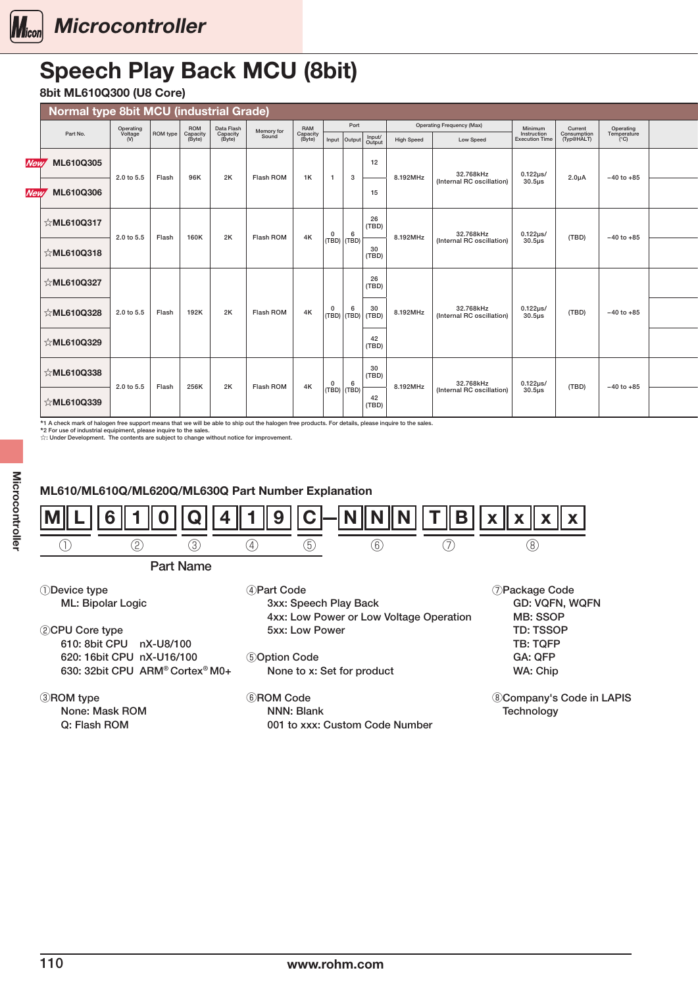## <span id="page-10-0"></span>Speech Play Back MCU (8bit)

### 8bit ML610Q300 (U8 Core)

|                                                                                                                                                                   | Operating<br>Voltage<br>(V) | ROM type | ROM<br>Capacity<br>(Byte) | Data Flash<br>Capacity<br>(Byte) | Memory for<br>Sound | RAM<br>Capacity<br>(Byte) | Port                                                                                                                                                                                                                                                                                                                                                                                                                                                                                                            |                   | <b>Operating Frequency (Max)</b>                                                                    | Minimum<br>Instruction<br>Execution Time | Current<br>Consumption<br>(Typ@HALT) | Operating<br>Temperature<br>(°C) |  |
|-------------------------------------------------------------------------------------------------------------------------------------------------------------------|-----------------------------|----------|---------------------------|----------------------------------|---------------------|---------------------------|-----------------------------------------------------------------------------------------------------------------------------------------------------------------------------------------------------------------------------------------------------------------------------------------------------------------------------------------------------------------------------------------------------------------------------------------------------------------------------------------------------------------|-------------------|-----------------------------------------------------------------------------------------------------|------------------------------------------|--------------------------------------|----------------------------------|--|
| Normal type 8bit MCU (industrial Grade)<br>Part No.<br>ML610Q305<br>ML610Q306<br>☆ML610Q317<br>☆ML610Q318<br>☆ML610Q327<br>☆ML610Q328<br>☆ML610Q329<br>☆ML610Q338 |                             |          |                           |                                  |                     |                           | Input Output nput/                                                                                                                                                                                                                                                                                                                                                                                                                                                                                              | <b>High Speed</b> | Low Speed                                                                                           |                                          |                                      |                                  |  |
|                                                                                                                                                                   |                             |          |                           |                                  |                     |                           | 12                                                                                                                                                                                                                                                                                                                                                                                                                                                                                                              |                   |                                                                                                     |                                          |                                      |                                  |  |
|                                                                                                                                                                   | 2.0 to 5.5                  | Flash    | 96K                       | 2K                               | Flash ROM           | 1K                        | $\mathbf{3}$<br>$\vert$ 1 $\vert$<br>$\frac{1}{2} \left( \frac{1}{2} \right) \left( \frac{1}{2} \right) \left( \frac{1}{2} \right) \left( \frac{1}{2} \right) \left( \frac{1}{2} \right) \left( \frac{1}{2} \right) \left( \frac{1}{2} \right) \left( \frac{1}{2} \right) \left( \frac{1}{2} \right) \left( \frac{1}{2} \right) \left( \frac{1}{2} \right) \left( \frac{1}{2} \right) \left( \frac{1}{2} \right) \left( \frac{1}{2} \right) \left( \frac{1}{2} \right) \left( \frac{1}{2} \right) \left( \frac$ | 8.192MHz          | $\left  \begin{array}{c} 32.768 \text{kHz} \\ \text{(Internal RC oscillation)} \end{array} \right $ | $0.122 \mu s /$<br>$30.5 \mu s$          | $2.0\mu A$                           | $-40$ to $+85$                   |  |
|                                                                                                                                                                   |                             |          |                           |                                  |                     |                           | 15                                                                                                                                                                                                                                                                                                                                                                                                                                                                                                              |                   |                                                                                                     |                                          |                                      |                                  |  |
|                                                                                                                                                                   |                             |          |                           |                                  |                     |                           |                                                                                                                                                                                                                                                                                                                                                                                                                                                                                                                 |                   |                                                                                                     |                                          |                                      |                                  |  |
|                                                                                                                                                                   |                             |          |                           |                                  |                     |                           | $\frac{26}{(TBD)}$                                                                                                                                                                                                                                                                                                                                                                                                                                                                                              |                   |                                                                                                     |                                          |                                      |                                  |  |
|                                                                                                                                                                   | 2.0 to 5.5                  | Flash    | 160K                      | 2K                               | Flash ROM           | 4K                        | $\begin{array}{ c c c } \hline 0 & 6 \\ \hline \text{(TBD)} & \text{(TBD)} \end{array}$<br>30                                                                                                                                                                                                                                                                                                                                                                                                                   | 8.192MHz          | 32.768kHz<br>(Internal RC oscillation)                                                              | $0.122 \mu s /$ $30.5 \mu s$             | (TBD)                                | $-40$ to $+85$                   |  |
|                                                                                                                                                                   |                             |          |                           |                                  |                     |                           | (TBD)                                                                                                                                                                                                                                                                                                                                                                                                                                                                                                           |                   |                                                                                                     |                                          |                                      |                                  |  |
|                                                                                                                                                                   |                             |          |                           |                                  |                     |                           | $\frac{26}{(TBD)}$                                                                                                                                                                                                                                                                                                                                                                                                                                                                                              |                   |                                                                                                     |                                          |                                      |                                  |  |
|                                                                                                                                                                   |                             |          |                           |                                  |                     |                           |                                                                                                                                                                                                                                                                                                                                                                                                                                                                                                                 |                   |                                                                                                     |                                          |                                      |                                  |  |
|                                                                                                                                                                   | 2.0 to 5.5                  | Flash    | 192K                      | 2K                               | Flash ROM           | 4K                        | $\begin{array}{ c c c } \hline 0 & 6 & 30 \\ \hline \text{(TBD)} & \text{(TBD)} & \text{(TBD)} \end{array}$                                                                                                                                                                                                                                                                                                                                                                                                     | 8.192MHz          | 32.768kHz<br>(Internal RC oscillation)                                                              | 0.122µs/<br>30.5µs                       | (TBD)                                | $-40$ to $+85$                   |  |
|                                                                                                                                                                   |                             |          |                           |                                  |                     |                           |                                                                                                                                                                                                                                                                                                                                                                                                                                                                                                                 |                   |                                                                                                     |                                          |                                      |                                  |  |
|                                                                                                                                                                   |                             |          |                           |                                  |                     |                           | $42$<br>(TBD)                                                                                                                                                                                                                                                                                                                                                                                                                                                                                                   |                   |                                                                                                     |                                          |                                      |                                  |  |
|                                                                                                                                                                   |                             |          |                           |                                  |                     |                           |                                                                                                                                                                                                                                                                                                                                                                                                                                                                                                                 |                   |                                                                                                     |                                          |                                      |                                  |  |
|                                                                                                                                                                   |                             |          |                           |                                  |                     |                           | 30<br>(TBD)                                                                                                                                                                                                                                                                                                                                                                                                                                                                                                     |                   |                                                                                                     |                                          |                                      |                                  |  |
|                                                                                                                                                                   | 2.0 to 5.5                  | Flash    | 256K                      | 2K                               | Flash ROM           | 4K                        | $\begin{array}{ c c c } \hline 0 & 6 \\ \hline \text{(TBD)} & \text{(TBD)} \end{array}$                                                                                                                                                                                                                                                                                                                                                                                                                         | 8.192MHz          | 32.768kHz<br>(Internal RC oscillation)                                                              | $0.122 \mu s /$ $30.5 \mu s$             | (TBD)                                | $-40$ to $+85$                   |  |
| ☆ML610Q339                                                                                                                                                        |                             |          |                           |                                  |                     |                           | 42<br>(TBD)                                                                                                                                                                                                                                                                                                                                                                                                                                                                                                     |                   |                                                                                                     |                                          |                                      |                                  |  |

\*1 A check mark of halogen free support means that we will be able to ship out the halogen free products. For details, please inquire to the sales.<br>\*2 For use of industrial equipiment, please inquire to the sales.<br>☆: Und

ML610/ML610Q/ML620Q/ML630Q Part Number Explanation

#### $MILII6$ ①Device type ML: Bipolar Logic ②CPU Core type 610: 8bit CPU nX-U8/100 620: 16bit CPU nX-U16/100 630: 32bit CPU ARM® Cortex® M0+ 1 || 0 ④Part Code 3xx: Speech Play Back 4xx: Low Power or Low Voltage Operation 5xx: Low Power ⑤Option Code None to x: Set for product ⑥ROM Code  $($   $)$ Part Name  $(2)$  $Q || 4 || 1 || 9$  $(3)$  (4)  $C$   $\left\| N \right\| N \left\| N \right\| T \left\| B \right\| \left| x \right\| x \left\| x \right\| x$ ⑤ ⑥ ⑦ ⑧ ⑦Package Code GD: VQFN, WQFN MB: SSOP TD: TSSOP TB: TQFP GA: QFP WA: Chip

## ③ROM type

None: Mask ROM Q: Flash ROM

NNN: Blank 001 to xxx: Custom Code Number ⑧Company's Code in LAPIS **Technology**